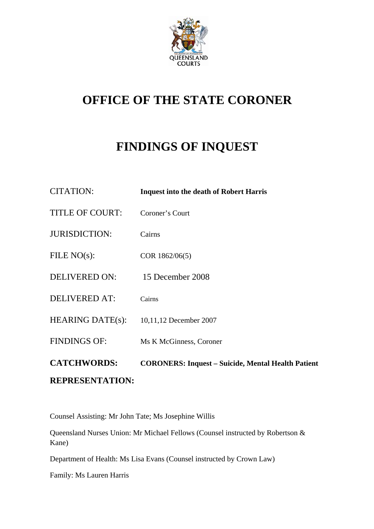

# **OFFICE OF THE STATE CORONER**

# **FINDINGS OF INQUEST**

| <b>CITATION:</b>        | <b>Inquest into the death of Robert Harris</b>            |
|-------------------------|-----------------------------------------------------------|
| <b>TITLE OF COURT:</b>  | Coroner's Court                                           |
| <b>JURISDICTION:</b>    | Cairns                                                    |
| FILE $NO(s)$ :          | COR 1862/06(5)                                            |
| <b>DELIVERED ON:</b>    | 15 December 2008                                          |
| <b>DELIVERED AT:</b>    | Cairns                                                    |
| <b>HEARING DATE(s):</b> | 10,11,12 December 2007                                    |
| <b>FINDINGS OF:</b>     | Ms K McGinness, Coroner                                   |
| <b>CATCHWORDS:</b>      | <b>CORONERS: Inquest – Suicide, Mental Health Patient</b> |
| <b>REPRESENTATION:</b>  |                                                           |

Counsel Assisting: Mr John Tate; Ms Josephine Willis

Queensland Nurses Union: Mr Michael Fellows (Counsel instructed by Robertson & Kane)

Department of Health: Ms Lisa Evans (Counsel instructed by Crown Law)

Family: Ms Lauren Harris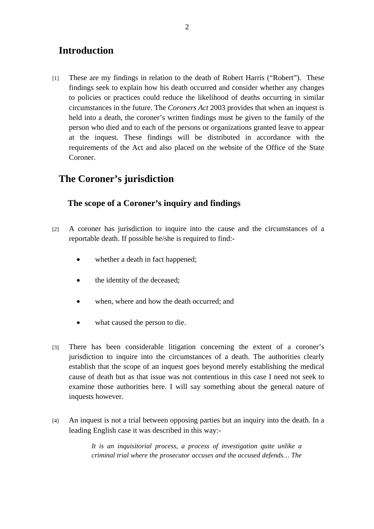## **Introduction**

[1] These are my findings in relation to the death of Robert Harris ("Robert"). These findings seek to explain how his death occurred and consider whether any changes to policies or practices could reduce the likelihood of deaths occurring in similar circumstances in the future. The *Coroners Act* 2003 provides that when an inquest is held into a death, the coroner's written findings must be given to the family of the person who died and to each of the persons or organizations granted leave to appear at the inquest. These findings will be distributed in accordance with the requirements of the Act and also placed on the website of the Office of the State Coroner.

## **The Coroner's jurisdiction**

### **The scope of a Coroner's inquiry and findings**

- [2] A coroner has jurisdiction to inquire into the cause and the circumstances of a reportable death. If possible he/she is required to find:-
	- whether a death in fact happened;
	- the identity of the deceased;
	- when, where and how the death occurred; and
	- what caused the person to die.
- [3] There has been considerable litigation concerning the extent of a coroner's jurisdiction to inquire into the circumstances of a death. The authorities clearly establish that the scope of an inquest goes beyond merely establishing the medical cause of death but as that issue was not contentious in this case I need not seek to examine those authorities here. I will say something about the general nature of inquests however.
- [4] An inquest is not a trial between opposing parties but an inquiry into the death. In a leading English case it was described in this way:-

*It is an inquisitorial process, a process of investigation quite unlike a criminal trial where the prosecutor accuses and the accused defends… The*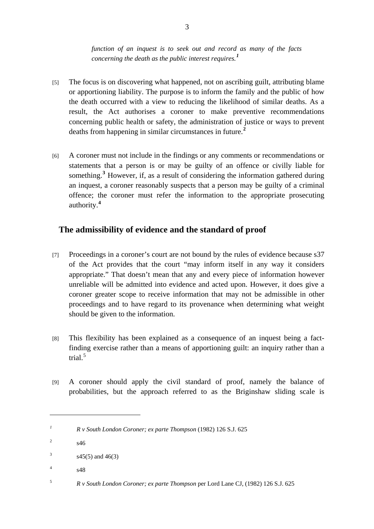*function of an inquest is to seek out and record as many of the facts concerning the death as the public interest requires.[1](#page-2-0)*

- [5] The focus is on discovering what happened, not on ascribing guilt, attributing blame or apportioning liability. The purpose is to inform the family and the public of how the death occurred with a view to reducing the likelihood of similar deaths. As a result, the Act authorises a coroner to make preventive recommendations concerning public health or safety, the administration of justice or ways to prevent deaths from happening in similar circumstances in future.**[2](#page-2-1)**
- [6] A coroner must not include in the findings or any comments or recommendations or statements that a person is or may be guilty of an offence or civilly liable for something.<sup>[3](#page-2-2)</sup> However, if, as a result of considering the information gathered during an inquest, a coroner reasonably suspects that a person may be guilty of a criminal offence; the coroner must refer the information to the appropriate prosecuting authority.**[4](#page-2-3)**

### **The admissibility of evidence and the standard of proof**

- [7] Proceedings in a coroner's court are not bound by the rules of evidence because s37 of the Act provides that the court "may inform itself in any way it considers appropriate." That doesn't mean that any and every piece of information however unreliable will be admitted into evidence and acted upon. However, it does give a coroner greater scope to receive information that may not be admissible in other proceedings and to have regard to its provenance when determining what weight should be given to the information.
- [8] This flexibility has been explained as a consequence of an inquest being a factfinding exercise rather than a means of apportioning guilt: an inquiry rather than a trial.[5](#page-2-4)
- [9] A coroner should apply the civil standard of proof, namely the balance of probabilities, but the approach referred to as the Briginshaw sliding scale is

<span id="page-2-3"></span>4 s48

<span id="page-2-0"></span>*<sup>1</sup> R v South London Coroner; ex parte Thompson* (1982) 126 S.J. 625

<span id="page-2-1"></span><sup>2</sup> s46

<span id="page-2-2"></span><sup>3</sup> s45(5) and 46(3)

<span id="page-2-4"></span><sup>5</sup> *R v South London Coroner; ex parte Thompson* per Lord Lane CJ, (1982) 126 S.J. 625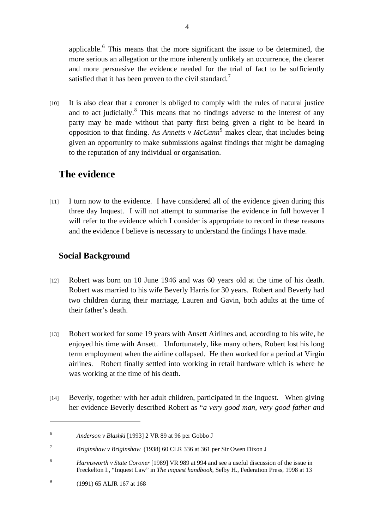applicable. $<sup>6</sup>$  $<sup>6</sup>$  $<sup>6</sup>$  This means that the more significant the issue to be determined, the</sup> more serious an allegation or the more inherently unlikely an occurrence, the clearer and more persuasive the evidence needed for the trial of fact to be sufficiently satisfied that it has been proven to the civil standard.<sup>[7](#page-3-1)</sup>

[10] It is also clear that a coroner is obliged to comply with the rules of natural justice and to act judicially. $8$  This means that no findings adverse to the interest of any party may be made without that party first being given a right to be heard in opposition to that finding. As *Annetts v McCann*<sup>[9](#page-3-3)</sup> makes clear, that includes being given an opportunity to make submissions against findings that might be damaging to the reputation of any individual or organisation.

## **The evidence**

[11] I turn now to the evidence. I have considered all of the evidence given during this three day Inquest. I will not attempt to summarise the evidence in full however I will refer to the evidence which I consider is appropriate to record in these reasons and the evidence I believe is necessary to understand the findings I have made.

## **Social Background**

- [12] Robert was born on 10 June 1946 and was 60 years old at the time of his death. Robert was married to his wife Beverly Harris for 30 years. Robert and Beverly had two children during their marriage, Lauren and Gavin, both adults at the time of their father's death.
- [13] Robert worked for some 19 years with Ansett Airlines and, according to his wife, he enjoyed his time with Ansett. Unfortunately, like many others, Robert lost his long term employment when the airline collapsed. He then worked for a period at Virgin airlines. Robert finally settled into working in retail hardware which is where he was working at the time of his death.
- [14] Beverly, together with her adult children, participated in the Inquest.When giving her evidence Beverly described Robert as "*a very good man, very good father and*

<span id="page-3-0"></span><sup>6</sup> *Anderson v Blashki* [1993] 2 VR 89 at 96 per Gobbo J

<span id="page-3-1"></span><sup>7</sup> *Briginshaw v Briginshaw* (1938) 60 CLR 336 at 361 per Sir Owen Dixon J

<span id="page-3-2"></span><sup>8</sup> *Harmsworth v State Coroner* [1989] VR 989 at 994 and see a useful discussion of the issue in Freckelton I., "Inquest Law" in *The inquest handbook,* Selby H., Federation Press, 1998 at 13

<span id="page-3-3"></span><sup>9</sup> (1991) 65 ALJR 167 at 168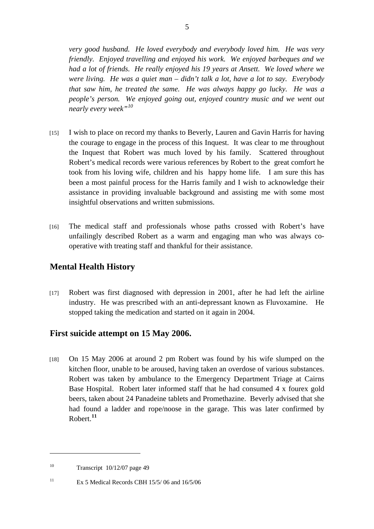*very good husband. He loved everybody and everybody loved him. He was very friendly. Enjoyed travelling and enjoyed his work. We enjoyed barbeques and we had a lot of friends. He really enjoyed his 19 years at Ansett. We loved where we were living. He was a quiet man – didn't talk a lot, have a lot to say. Everybody that saw him, he treated the same. He was always happy go lucky. He was a people's person.* We enjoyed going out, enjoyed country music and we went out *nearly every week"[10](#page-4-0)*

- [15] I wish to place on record my thanks to Beverly, Lauren and Gavin Harris for having the courage to engage in the process of this Inquest. It was clear to me throughout the Inquest that Robert was much loved by his family. Scattered throughout Robert's medical records were various references by Robert to the great comfort he took from his loving wife, children and his happy home life. I am sure this has been a most painful process for the Harris family and I wish to acknowledge their assistance in providing invaluable background and assisting me with some most insightful observations and written submissions.
- [16] The medical staff and professionals whose paths crossed with Robert's have unfailingly described Robert as a warm and engaging man who was always cooperative with treating staff and thankful for their assistance.

#### **Mental Health History**

[17] Robert was first diagnosed with depression in 2001, after he had left the airline industry. He was prescribed with an anti-depressant known as Fluvoxamine. He stopped taking the medication and started on it again in 2004.

### **First suicide attempt on 15 May 2006.**

[18] On 15 May 2006 at around 2 pm Robert was found by his wife slumped on the kitchen floor, unable to be aroused, having taken an overdose of various substances. Robert was taken by ambulance to the Emergency Department Triage at Cairns Base Hospital. Robert later informed staff that he had consumed 4 x fourex gold beers, taken about 24 Panadeine tablets and Promethazine. Beverly advised that she had found a ladder and rope/noose in the garage. This was later confirmed by Robert.**[11](#page-4-1)**

<span id="page-4-0"></span><sup>&</sup>lt;sup>10</sup> Transcript  $10/12/07$  page 49

<span id="page-4-1"></span><sup>&</sup>lt;sup>11</sup> Ex 5 Medical Records CBH 15/5/06 and  $16/5/06$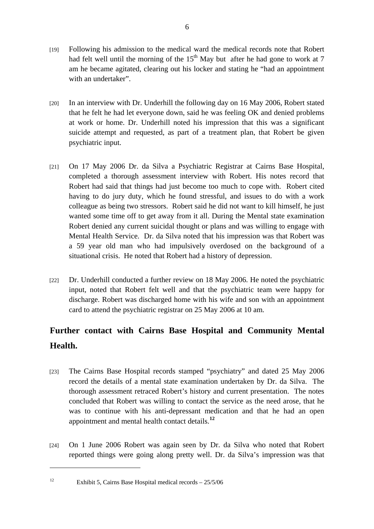- [19] Following his admission to the medical ward the medical records note that Robert had felt well until the morning of the  $15<sup>th</sup>$  May but after he had gone to work at 7 am he became agitated, clearing out his locker and stating he "had an appointment with an undertaker".
- [20] In an interview with Dr. Underhill the following day on 16 May 2006, Robert stated that he felt he had let everyone down, said he was feeling OK and denied problems at work or home. Dr. Underhill noted his impression that this was a significant suicide attempt and requested, as part of a treatment plan, that Robert be given psychiatric input.
- [21] On 17 May 2006 Dr. da Silva a Psychiatric Registrar at Cairns Base Hospital, completed a thorough assessment interview with Robert. His notes record that Robert had said that things had just become too much to cope with. Robert cited having to do jury duty, which he found stressful, and issues to do with a work colleague as being two stressors. Robert said he did not want to kill himself, he just wanted some time off to get away from it all. During the Mental state examination Robert denied any current suicidal thought or plans and was willing to engage with Mental Health Service. Dr. da Silva noted that his impression was that Robert was a 59 year old man who had impulsively overdosed on the background of a situational crisis. He noted that Robert had a history of depression.
- [22] Dr. Underhill conducted a further review on 18 May 2006. He noted the psychiatric input, noted that Robert felt well and that the psychiatric team were happy for discharge. Robert was discharged home with his wife and son with an appointment card to attend the psychiatric registrar on 25 May 2006 at 10 am.

## **Further contact with Cairns Base Hospital and Community Mental Health.**

- [23] The Cairns Base Hospital records stamped "psychiatry" and dated 25 May 2006 record the details of a mental state examination undertaken by Dr. da Silva. The thorough assessment retraced Robert's history and current presentation. The notes concluded that Robert was willing to contact the service as the need arose, that he was to continue with his anti-depressant medication and that he had an open appointment and mental health contact details.**[12](#page-5-0)**
- [24] On 1 June 2006 Robert was again seen by Dr. da Silva who noted that Robert reported things were going along pretty well. Dr. da Silva's impression was that

<span id="page-5-0"></span><sup>&</sup>lt;sup>12</sup> Exhibit 5, Cairns Base Hospital medical records  $-25/5/06$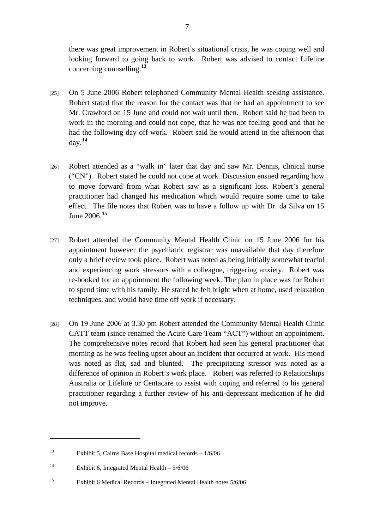there was great improvement in Robert's situational crisis, he was coping well and looking forward to going back to work. Robert was advised to contact Lifeline concerning counselling.**[13](#page-6-0)**

- [25] On 5 June 2006 Robert telephoned Community Mental Health seeking assistance. Robert stated that the reason for the contact was that he had an appointment to see Mr. Crawford on 15 June and could not wait until then. Robert said he had been to work in the morning and could not cope, that he was not feeling good and that he had the following day off work. Robert said he would attend in the afternoon that day.**[14](#page-6-1)**
- [26] Robert attended as a "walk in" later that day and saw Mr. Dennis, clinical nurse ("CN"). Robert stated he could not cope at work. Discussion ensued regarding how to move forward from what Robert saw as a significant loss. Robert's general practitioner had changed his medication which would require some time to take effect. The file notes that Robert was to have a follow up with Dr. da Silva on 15 June 2006.**[15](#page-6-2)**
- [27] Robert attended the Community Mental Health Clinic on 15 June 2006 for his appointment however the psychiatric registrar was unavailable that day therefore only a brief review took place. Robert was noted as being initially somewhat tearful and experiencing work stressors with a colleague, triggering anxiety. Robert was re-booked for an appointment the following week. The plan in place was for Robert to spend time with his family. He stated he felt bright when at home, used relaxation techniques, and would have time off work if necessary.
- [28] On 19 June 2006 at 3.30 pm Robert attended the Community Mental Health Clinic CATT team (since renamed the Acute Care Team "ACT") without an appointment. The comprehensive notes record that Robert had seen his general practitioner that morning as he was feeling upset about an incident that occurred at work. His mood was noted as flat, sad and blunted. The precipitating stressor was noted as a difference of opinion in Robert's work place. Robert was referred to Relationships Australia or Lifeline or Centacare to assist with coping and referred to his general practitioner regarding a further review of his anti-depressant medication if he did not improve.

<span id="page-6-0"></span><sup>13</sup> Exhibit 5, Cairns Base Hospital medical records – 1/6/06

<span id="page-6-1"></span><sup>&</sup>lt;sup>14</sup> Exhibit 6, Integrated Mental Health –  $5/6/06$ 

<span id="page-6-2"></span><sup>15</sup> Exhibit 6 Medical Records – Integrated Mental Health notes 5/6/06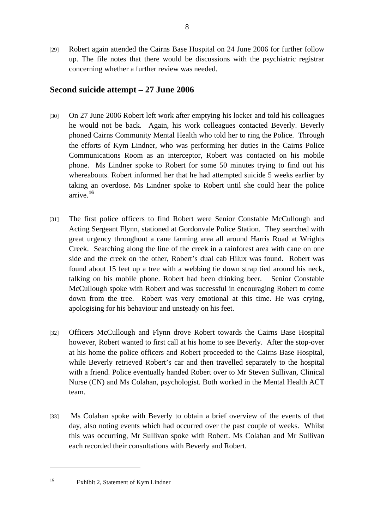[29] Robert again attended the Cairns Base Hospital on 24 June 2006 for further follow up. The file notes that there would be discussions with the psychiatric registrar concerning whether a further review was needed.

#### **Second suicide attempt – 27 June 2006**

- [30] On 27 June 2006 Robert left work after emptying his locker and told his colleagues he would not be back. Again, his work colleagues contacted Beverly. Beverly phoned Cairns Community Mental Health who told her to ring the Police. Through the efforts of Kym Lindner, who was performing her duties in the Cairns Police Communications Room as an interceptor, Robert was contacted on his mobile phone. Ms Lindner spoke to Robert for some 50 minutes trying to find out his whereabouts. Robert informed her that he had attempted suicide 5 weeks earlier by taking an overdose. Ms Lindner spoke to Robert until she could hear the police arrive.**[16](#page-7-0)**
- [31] The first police officers to find Robert were Senior Constable McCullough and Acting Sergeant Flynn, stationed at Gordonvale Police Station. They searched with great urgency throughout a cane farming area all around Harris Road at Wrights Creek. Searching along the line of the creek in a rainforest area with cane on one side and the creek on the other, Robert's dual cab Hilux was found. Robert was found about 15 feet up a tree with a webbing tie down strap tied around his neck, talking on his mobile phone. Robert had been drinking beer. Senior Constable McCullough spoke with Robert and was successful in encouraging Robert to come down from the tree. Robert was very emotional at this time. He was crying, apologising for his behaviour and unsteady on his feet.
- [32] Officers McCullough and Flynn drove Robert towards the Cairns Base Hospital however, Robert wanted to first call at his home to see Beverly. After the stop-over at his home the police officers and Robert proceeded to the Cairns Base Hospital, while Beverly retrieved Robert's car and then travelled separately to the hospital with a friend. Police eventually handed Robert over to Mr Steven Sullivan, Clinical Nurse (CN) and Ms Colahan, psychologist. Both worked in the Mental Health ACT team.
- [33] Ms Colahan spoke with Beverly to obtain a brief overview of the events of that day, also noting events which had occurred over the past couple of weeks. Whilst this was occurring, Mr Sullivan spoke with Robert. Ms Colahan and Mr Sullivan each recorded their consultations with Beverly and Robert.

<span id="page-7-0"></span>

<sup>16</sup> Exhibit 2, Statement of Kym Lindner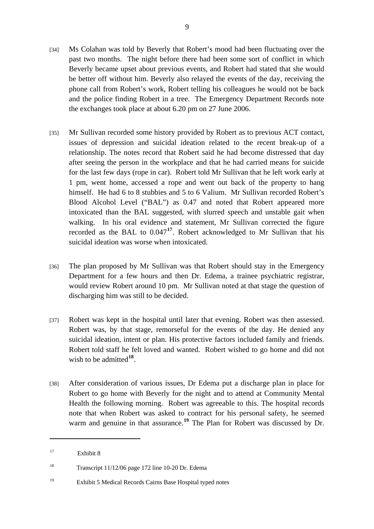- [34] Ms Colahan was told by Beverly that Robert's mood had been fluctuating over the past two months. The night before there had been some sort of conflict in which Beverly became upset about previous events, and Robert had stated that she would be better off without him. Beverly also relayed the events of the day, receiving the phone call from Robert's work, Robert telling his colleagues he would not be back and the police finding Robert in a tree. The Emergency Department Records note the exchanges took place at about 6.20 pm on 27 June 2006.
- [35] Mr Sullivan recorded some history provided by Robert as to previous ACT contact, issues of depression and suicidal ideation related to the recent break-up of a relationship. The notes record that Robert said he had become distressed that day after seeing the person in the workplace and that he had carried means for suicide for the last few days (rope in car). Robert told Mr Sullivan that he left work early at 1 pm, went home, accessed a rope and went out back of the property to hang himself. He had 6 to 8 stubbies and 5 to 6 Valium. Mr Sullivan recorded Robert's Blood Alcohol Level ("BAL") as 0.47 and noted that Robert appeared more intoxicated than the BAL suggested, with slurred speech and unstable gait when walking. In his oral evidence and statement, Mr Sullivan corrected the figure recorded as the BAL to 0.047**[17](#page-8-0)**. Robert acknowledged to Mr Sullivan that his suicidal ideation was worse when intoxicated.
- [36] The plan proposed by Mr Sullivan was that Robert should stay in the Emergency Department for a few hours and then Dr. Edema, a trainee psychiatric registrar, would review Robert around 10 pm. Mr Sullivan noted at that stage the question of discharging him was still to be decided.
- [37] Robert was kept in the hospital until later that evening. Robert was then assessed. Robert was, by that stage, remorseful for the events of the day. He denied any suicidal ideation, intent or plan. His protective factors included family and friends. Robert told staff he felt loved and wanted. Robert wished to go home and did not wish to be admitted<sup>[18](#page-8-1)</sup>.
- [38] After consideration of various issues, Dr Edema put a discharge plan in place for Robert to go home with Beverly for the night and to attend at Community Mental Health the following morning. Robert was agreeable to this. The hospital records note that when Robert was asked to contract for his personal safety, he seemed warm and genuine in that assurance.<sup>[19](#page-8-2)</sup> The Plan for Robert was discussed by Dr.

<span id="page-8-0"></span><sup>&</sup>lt;sup>17</sup> Exhibit 8

<span id="page-8-1"></span><sup>&</sup>lt;sup>18</sup> Transcript 11/12/06 page 172 line 10-20 Dr. Edema

<span id="page-8-2"></span><sup>19</sup> Exhibit 5 Medical Records Cairns Base Hospital typed notes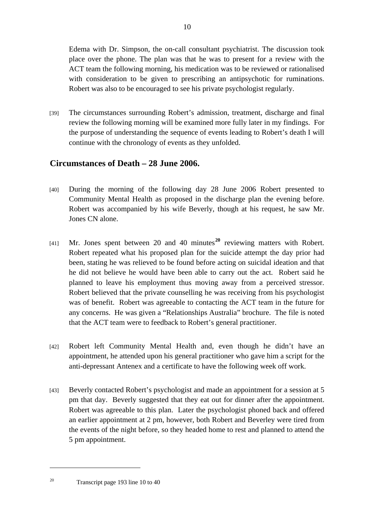Edema with Dr. Simpson, the on-call consultant psychiatrist. The discussion took place over the phone. The plan was that he was to present for a review with the ACT team the following morning, his medication was to be reviewed or rationalised with consideration to be given to prescribing an antipsychotic for ruminations. Robert was also to be encouraged to see his private psychologist regularly.

[39] The circumstances surrounding Robert's admission, treatment, discharge and final review the following morning will be examined more fully later in my findings. For the purpose of understanding the sequence of events leading to Robert's death I will continue with the chronology of events as they unfolded.

#### **Circumstances of Death – 28 June 2006.**

- [40] During the morning of the following day 28 June 2006 Robert presented to Community Mental Health as proposed in the discharge plan the evening before. Robert was accompanied by his wife Beverly, though at his request, he saw Mr. Jones CN alone.
- [41] Mr. Jones spent between 20 and 40 minutes**[20](#page-9-0)** reviewing matters with Robert. Robert repeated what his proposed plan for the suicide attempt the day prior had been, stating he was relieved to be found before acting on suicidal ideation and that he did not believe he would have been able to carry out the act. Robert said he planned to leave his employment thus moving away from a perceived stressor. Robert believed that the private counselling he was receiving from his psychologist was of benefit. Robert was agreeable to contacting the ACT team in the future for any concerns. He was given a "Relationships Australia" brochure. The file is noted that the ACT team were to feedback to Robert's general practitioner.
- [42] Robert left Community Mental Health and, even though he didn't have an appointment, he attended upon his general practitioner who gave him a script for the anti-depressant Antenex and a certificate to have the following week off work.
- <span id="page-9-0"></span>[43] Beverly contacted Robert's psychologist and made an appointment for a session at 5 pm that day. Beverly suggested that they eat out for dinner after the appointment. Robert was agreeable to this plan. Later the psychologist phoned back and offered an earlier appointment at 2 pm, however, both Robert and Beverley were tired from the events of the night before, so they headed home to rest and planned to attend the 5 pm appointment.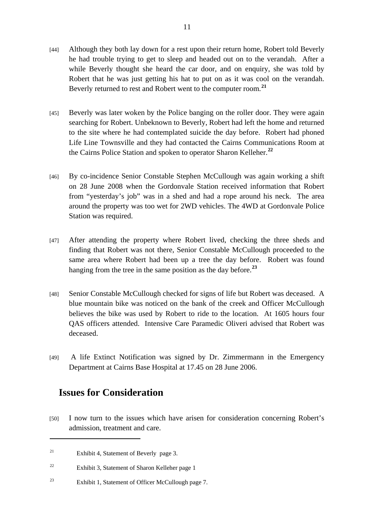- [44] Although they both lay down for a rest upon their return home, Robert told Beverly he had trouble trying to get to sleep and headed out on to the verandah. After a while Beverly thought she heard the car door, and on enquiry, she was told by Robert that he was just getting his hat to put on as it was cool on the verandah. Beverly returned to rest and Robert went to the computer room.**[21](#page-10-0)**
- [45] Beverly was later woken by the Police banging on the roller door. They were again searching for Robert. Unbeknown to Beverly, Robert had left the home and returned to the site where he had contemplated suicide the day before. Robert had phoned Life Line Townsville and they had contacted the Cairns Communications Room at the Cairns Police Station and spoken to operator Sharon Kelleher.**[22](#page-10-1)**
- [46] By co-incidence Senior Constable Stephen McCullough was again working a shift on 28 June 2008 when the Gordonvale Station received information that Robert from "yesterday's job" was in a shed and had a rope around his neck. The area around the property was too wet for 2WD vehicles. The 4WD at Gordonvale Police Station was required.
- [47] After attending the property where Robert lived, checking the three sheds and finding that Robert was not there, Senior Constable McCullough proceeded to the same area where Robert had been up a tree the day before. Robert was found hanging from the tree in the same position as the day before.**[23](#page-10-2)**
- [48] Senior Constable McCullough checked for signs of life but Robert was deceased. A blue mountain bike was noticed on the bank of the creek and Officer McCullough believes the bike was used by Robert to ride to the location. At 1605 hours four QAS officers attended. Intensive Care Paramedic Oliveri advised that Robert was deceased.
- [49] A life Extinct Notification was signed by Dr. Zimmermann in the Emergency Department at Cairns Base Hospital at 17.45 on 28 June 2006.

### **Issues for Consideration**

[50] I now turn to the issues which have arisen for consideration concerning Robert's admission, treatment and care.

<span id="page-10-0"></span><sup>&</sup>lt;sup>21</sup> Exhibit 4, Statement of Beverly page 3.

<span id="page-10-1"></span><sup>22</sup> Exhibit 3, Statement of Sharon Kelleher page 1

<span id="page-10-2"></span><sup>23</sup> Exhibit 1, Statement of Officer McCullough page 7.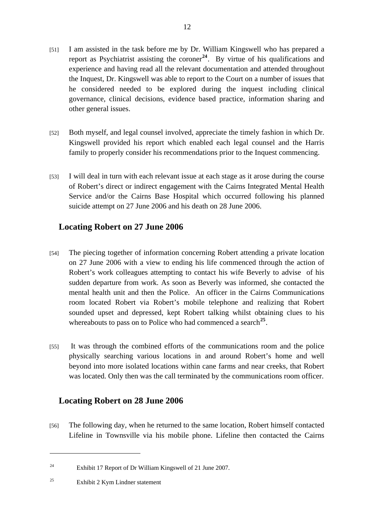- [51] I am assisted in the task before me by Dr. William Kingswell who has prepared a report as Psychiatrist assisting the coroner<sup>[24](#page-11-0)</sup>. By virtue of his qualifications and experience and having read all the relevant documentation and attended throughout the Inquest, Dr. Kingswell was able to report to the Court on a number of issues that he considered needed to be explored during the inquest including clinical governance, clinical decisions, evidence based practice, information sharing and other general issues.
- [52] Both myself, and legal counsel involved, appreciate the timely fashion in which Dr. Kingswell provided his report which enabled each legal counsel and the Harris family to properly consider his recommendations prior to the Inquest commencing.
- [53] I will deal in turn with each relevant issue at each stage as it arose during the course of Robert's direct or indirect engagement with the Cairns Integrated Mental Health Service and/or the Cairns Base Hospital which occurred following his planned suicide attempt on 27 June 2006 and his death on 28 June 2006.

#### **Locating Robert on 27 June 2006**

- [54] The piecing together of information concerning Robert attending a private location on 27 June 2006 with a view to ending his life commenced through the action of Robert's work colleagues attempting to contact his wife Beverly to advise of his sudden departure from work. As soon as Beverly was informed, she contacted the mental health unit and then the Police. An officer in the Cairns Communications room located Robert via Robert's mobile telephone and realizing that Robert sounded upset and depressed, kept Robert talking whilst obtaining clues to his whereabouts to pass on to Police who had commenced a search<sup>[25](#page-11-1)</sup>.
- [55] It was through the combined efforts of the communications room and the police physically searching various locations in and around Robert's home and well beyond into more isolated locations within cane farms and near creeks, that Robert was located. Only then was the call terminated by the communications room officer.

#### **Locating Robert on 28 June 2006**

[56] The following day, when he returned to the same location, Robert himself contacted Lifeline in Townsville via his mobile phone. Lifeline then contacted the Cairns

<span id="page-11-0"></span><sup>24</sup> Exhibit 17 Report of Dr William Kingswell of 21 June 2007.

<span id="page-11-1"></span><sup>25</sup> Exhibit 2 Kym Lindner statement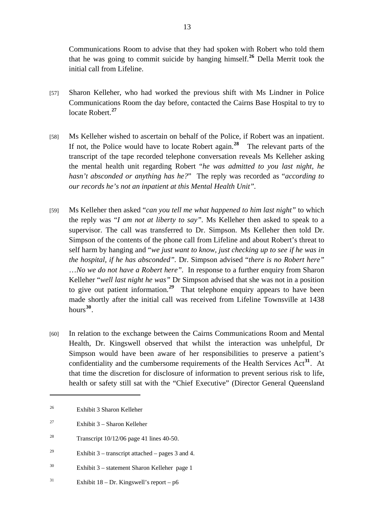Communications Room to advise that they had spoken with Robert who told them that he was going to commit suicide by hanging himself.**[26](#page-12-0)** Della Merrit took the initial call from Lifeline.

- [57] Sharon Kelleher, who had worked the previous shift with Ms Lindner in Police Communications Room the day before, contacted the Cairns Base Hospital to try to locate Robert.**[27](#page-12-1)**
- [58] Ms Kelleher wished to ascertain on behalf of the Police, if Robert was an inpatient. If not, the Police would have to locate Robert again.**[28](#page-12-2)** The relevant parts of the transcript of the tape recorded telephone conversation reveals Ms Kelleher asking the mental health unit regarding Robert "*he was admitted to you last night, he hasn't absconded or anything has he?*" The reply was recorded as "*according to our records he's not an inpatient at this Mental Health Unit".*
- [59] Ms Kelleher then asked "*can you tell me what happened to him last night"* to which the reply was "*I am not at liberty to say".* Ms Kelleher then asked to speak to a supervisor. The call was transferred to Dr. Simpson. Ms Kelleher then told Dr. Simpson of the contents of the phone call from Lifeline and about Robert's threat to self harm by hanging and "*we just want to know, just checking up to see if he was in the hospital, if he has absconded".* Dr. Simpson advised "*there is no Robert here"*  …*No we do not have a Robert here".* In response to a further enquiry from Sharon Kelleher "*well last night he was"* Dr Simpson advised that she was not in a position to give out patient information*. [29](#page-12-3)* That telephone enquiry appears to have been made shortly after the initial call was received from Lifeline Townsville at 1438 hours**[30](#page-12-4)**.
- [60] In relation to the exchange between the Cairns Communications Room and Mental Health, Dr. Kingswell observed that whilst the interaction was unhelpful, Dr Simpson would have been aware of her responsibilities to preserve a patient's confidentiality and the cumbersome requirements of the Health Services Act**[31](#page-12-5)**. At that time the discretion for disclosure of information to prevent serious risk to life, health or safety still sat with the "Chief Executive" (Director General Queensland

- <span id="page-12-4"></span>30 Exhibit 3 – statement Sharon Kelleher page 1
- <span id="page-12-5"></span><sup>31</sup> Exhibit 18 – Dr. Kingswell's report – p6

<span id="page-12-0"></span><sup>26</sup> Exhibit 3 Sharon Kelleher

<span id="page-12-1"></span><sup>&</sup>lt;sup>27</sup> Exhibit 3 – Sharon Kelleher

<span id="page-12-2"></span><sup>&</sup>lt;sup>28</sup> Transcript  $10/12/06$  page 41 lines 40-50.

<span id="page-12-3"></span><sup>&</sup>lt;sup>29</sup> Exhibit 3 – transcript attached – pages 3 and 4.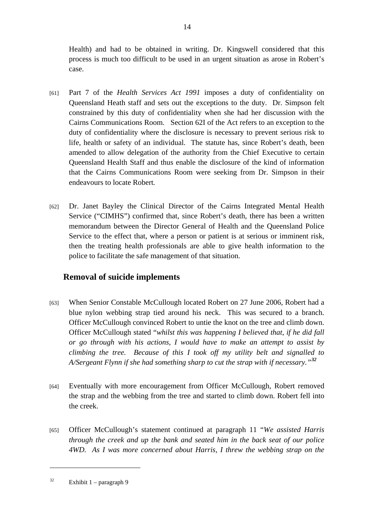Health) and had to be obtained in writing. Dr. Kingswell considered that this process is much too difficult to be used in an urgent situation as arose in Robert's case.

- [61] Part 7 of the *Health Services Act 1991* imposes a duty of confidentiality on Queensland Heath staff and sets out the exceptions to the duty. Dr. Simpson felt constrained by this duty of confidentiality when she had her discussion with the Cairns Communications Room. Section 62I of the Act refers to an exception to the duty of confidentiality where the disclosure is necessary to prevent serious risk to life, health or safety of an individual. The statute has, since Robert's death, been amended to allow delegation of the authority from the Chief Executive to certain Queensland Health Staff and thus enable the disclosure of the kind of information that the Cairns Communications Room were seeking from Dr. Simpson in their endeavours to locate Robert*.*
- [62] Dr. Janet Bayley the Clinical Director of the Cairns Integrated Mental Health Service ("CIMHS") confirmed that, since Robert's death, there has been a written memorandum between the Director General of Health and the Queensland Police Service to the effect that, where a person or patient is at serious or imminent risk, then the treating health professionals are able to give health information to the police to facilitate the safe management of that situation.

### **Removal of suicide implements**

- [63] When Senior Constable McCullough located Robert on 27 June 2006, Robert had a blue nylon webbing strap tied around his neck. This was secured to a branch. Officer McCullough convinced Robert to untie the knot on the tree and climb down. Officer McCullough stated "*whilst this was happening I believed that, if he did fall or go through with his actions, I would have to make an attempt to assist by climbing the tree. Because of this I took off my utility belt and signalled to A/Sergeant Flynn if she had something sharp to cut the strap with if necessary."[32](#page-13-0)*
- [64] Eventually with more encouragement from Officer McCullough, Robert removed the strap and the webbing from the tree and started to climb down. Robert fell into the creek.
- [65] Officer McCullough's statement continued at paragraph 11 "*We assisted Harris through the creek and up the bank and seated him in the back seat of our police 4WD. As I was more concerned about Harris, I threw the webbing strap on the*

<span id="page-13-0"></span> $32$  Exhibit 1 – paragraph 9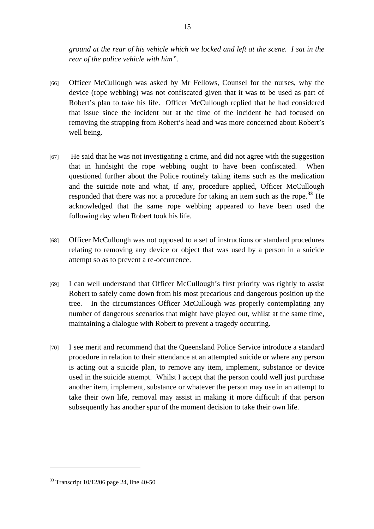*ground at the rear of his vehicle which we locked and left at the scene. I sat in the rear of the police vehicle with him".*

- [66] Officer McCullough was asked by Mr Fellows, Counsel for the nurses, why the device (rope webbing) was not confiscated given that it was to be used as part of Robert's plan to take his life. Officer McCullough replied that he had considered that issue since the incident but at the time of the incident he had focused on removing the strapping from Robert's head and was more concerned about Robert's well being.
- [67] He said that he was not investigating a crime, and did not agree with the suggestion that in hindsight the rope webbing ought to have been confiscated. When questioned further about the Police routinely taking items such as the medication and the suicide note and what, if any, procedure applied, Officer McCullough responded that there was not a procedure for taking an item such as the rope.**[33](#page-14-0)** He acknowledged that the same rope webbing appeared to have been used the following day when Robert took his life.
- [68] Officer McCullough was not opposed to a set of instructions or standard procedures relating to removing any device or object that was used by a person in a suicide attempt so as to prevent a re-occurrence.
- [69] I can well understand that Officer McCullough's first priority was rightly to assist Robert to safely come down from his most precarious and dangerous position up the tree. In the circumstances Officer McCullough was properly contemplating any number of dangerous scenarios that might have played out, whilst at the same time, maintaining a dialogue with Robert to prevent a tragedy occurring.
- [70] I see merit and recommend that the Queensland Police Service introduce a standard procedure in relation to their attendance at an attempted suicide or where any person is acting out a suicide plan, to remove any item, implement, substance or device used in the suicide attempt. Whilst I accept that the person could well just purchase another item, implement, substance or whatever the person may use in an attempt to take their own life, removal may assist in making it more difficult if that person subsequently has another spur of the moment decision to take their own life.

<span id="page-14-0"></span> $33$  Transcript 10/12/06 page 24, line 40-50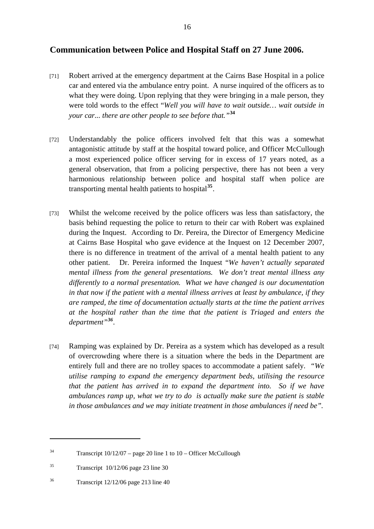#### **Communication between Police and Hospital Staff on 27 June 2006.**

- [71] Robert arrived at the emergency department at the Cairns Base Hospital in a police car and entered via the ambulance entry point. A nurse inquired of the officers as to what they were doing. Upon replying that they were bringing in a male person, they were told words to the effect "*Well you will have to wait outside… wait outside in your car... there are other people to see before that."***[34](#page-15-0)**
- [72] Understandably the police officers involved felt that this was a somewhat antagonistic attitude by staff at the hospital toward police, and Officer McCullough a most experienced police officer serving for in excess of 17 years noted, as a general observation, that from a policing perspective, there has not been a very harmonious relationship between police and hospital staff when police are transporting mental health patients to hospital**[35](#page-15-1)**.
- [73] Whilst the welcome received by the police officers was less than satisfactory, the basis behind requesting the police to return to their car with Robert was explained during the Inquest. According to Dr. Pereira, the Director of Emergency Medicine at Cairns Base Hospital who gave evidence at the Inquest on 12 December 2007, there is no difference in treatment of the arrival of a mental health patient to any other patient. Dr. Pereira informed the Inquest "*We haven't actually separated mental illness from the general presentations. We don't treat mental illness any differently to a normal presentation. What we have changed is our documentation in that now if the patient with a mental illness arrives at least by ambulance, if they are ramped, the time of documentation actually starts at the time the patient arrives at the hospital rather than the time that the patient is Triaged and enters the department"[36](#page-15-2).*
- [74] Ramping was explained by Dr. Pereira as a system which has developed as a result of overcrowding where there is a situation where the beds in the Department are entirely full and there are no trolley spaces to accommodate a patient safely. *"We utilise ramping to expand the emergency department beds, utilising the resource that the patient has arrived in to expand the department into. So if we have ambulances ramp up, what we try to do is actually make sure the patient is stable in those ambulances and we may initiate treatment in those ambulances if need be".*

<span id="page-15-0"></span><sup>&</sup>lt;sup>34</sup> Transcript  $10/12/07$  – page 20 line 1 to  $10$  – Officer McCullough

<span id="page-15-1"></span> $35$  Transcript  $10/12/06$  page 23 line 30

<span id="page-15-2"></span><sup>36</sup> Transcript 12/12/06 page 213 line 40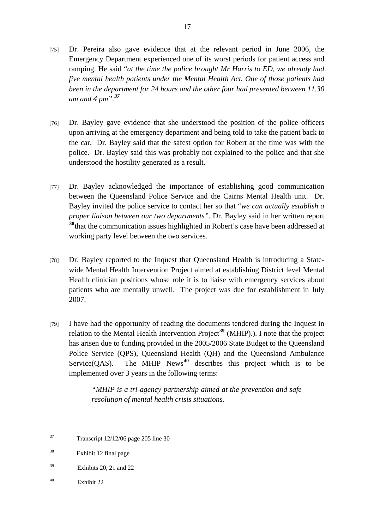- [75] Dr. Pereira also gave evidence that at the relevant period in June 2006, the Emergency Department experienced one of its worst periods for patient access and ramping. He said "*at the time the police brought Mr Harris to ED, we already had five mental health patients under the Mental Health Act. One of those patients had been in the department for 24 hours and the other four had presented between 11.30 am and 4 pm".[37](#page-16-0)*
- [76] Dr. Bayley gave evidence that she understood the position of the police officers upon arriving at the emergency department and being told to take the patient back to the car. Dr. Bayley said that the safest option for Robert at the time was with the police. Dr. Bayley said this was probably not explained to the police and that she understood the hostility generated as a result.
- [77] Dr. Bayley acknowledged the importance of establishing good communication between the Queensland Police Service and the Cairns Mental Health unit. Dr. Bayley invited the police service to contact her so that "*we can actually establish a proper liaison between our two departments".* Dr. Bayley said in her written report **[38](#page-16-1)**that the communication issues highlighted in Robert's case have been addressed at working party level between the two services.
- [78] Dr. Bayley reported to the Inquest that Queensland Health is introducing a Statewide Mental Health Intervention Project aimed at establishing District level Mental Health clinician positions whose role it is to liaise with emergency services about patients who are mentally unwell. The project was due for establishment in July 2007.
- [79] I have had the opportunity of reading the documents tendered during the Inquest in relation to the Mental Health Intervention Project**[39](#page-16-2)** (MHIP).). I note that the project has arisen due to funding provided in the 2005/2006 State Budget to the Queensland Police Service (QPS), Queensland Health (QH) and the Queensland Ambulance Service(OAS). The MHIP News<sup>[40](#page-16-3)</sup> describes this project which is to be implemented over 3 years in the following terms:

*"MHIP is a tri-agency partnership aimed at the prevention and safe resolution of mental health crisis situations.* 

<span id="page-16-3"></span>40 Exhibit 22

<span id="page-16-0"></span> $37$  Transcript  $12/12/06$  page 205 line 30

<span id="page-16-1"></span><sup>38</sup> Exhibit 12 final page

<span id="page-16-2"></span> $39$  Exhibits 20, 21 and 22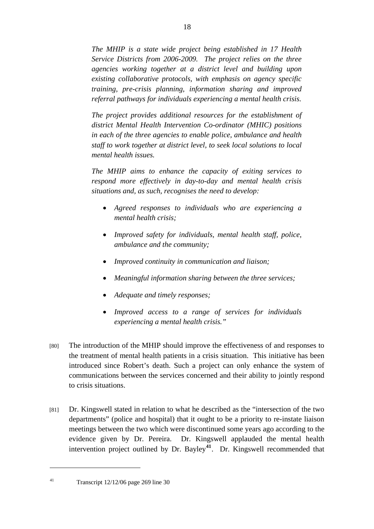*The MHIP is a state wide project being established in 17 Health Service Districts from 2006-2009. The project relies on the three agencies working together at a district level and building upon existing collaborative protocols, with emphasis on agency specific training, pre-crisis planning, information sharing and improved referral pathways for individuals experiencing a mental health crisis.* 

*The project provides additional resources for the establishment of district Mental Health Intervention Co-ordinator (MHIC) positions in each of the three agencies to enable police, ambulance and health staff to work together at district level, to seek local solutions to local mental health issues.* 

*The MHIP aims to enhance the capacity of exiting services to respond more effectively in day-to-day and mental health crisis situations and, as such, recognises the need to develop:* 

- *Agreed responses to individuals who are experiencing a mental health crisis;*
- *Improved safety for individuals, mental health staff, police, ambulance and the community;*
- *Improved continuity in communication and liaison;*
- *Meaningful information sharing between the three services;*
- *Adequate and timely responses;*
- *Improved access to a range of services for individuals experiencing a mental health crisis."*
- [80] The introduction of the MHIP should improve the effectiveness of and responses to the treatment of mental health patients in a crisis situation. This initiative has been introduced since Robert's death. Such a project can only enhance the system of communications between the services concerned and their ability to jointly respond to crisis situations.
- [81] Dr. Kingswell stated in relation to what he described as the "intersection of the two departments" (police and hospital) that it ought to be a priority to re-instate liaison meetings between the two which were discontinued some years ago according to the evidence given by Dr. Pereira. Dr. Kingswell applauded the mental health intervention project outlined by Dr. Bayley**[41](#page-17-0)**. Dr. Kingswell recommended that

<span id="page-17-0"></span><sup>&</sup>lt;sup>41</sup> Transcript 12/12/06 page 269 line 30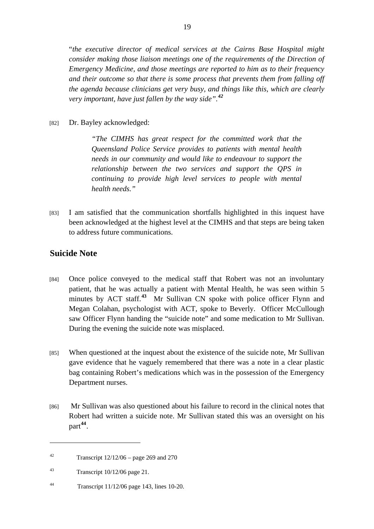"*the executive director of medical services at the Cairns Base Hospital might consider making those liaison meetings one of the requirements of the Direction of Emergency Medicine, and those meetings are reported to him as to their frequency and their outcome so that there is some process that prevents them from falling off the agenda because clinicians get very busy, and things like this, which are clearly very important, have just fallen by the way side".[42](#page-18-0)*

[82] Dr. Bayley acknowledged:

*"The CIMHS has great respect for the committed work that the Queensland Police Service provides to patients with mental health needs in our community and would like to endeavour to support the relationship between the two services and support the QPS in continuing to provide high level services to people with mental health needs."* 

[83] I am satisfied that the communication shortfalls highlighted in this inquest have been acknowledged at the highest level at the CIMHS and that steps are being taken to address future communications.

#### **Suicide Note**

- [84] Once police conveyed to the medical staff that Robert was not an involuntary patient, that he was actually a patient with Mental Health, he was seen within 5 minutes by ACT staff.**[43](#page-18-1)** Mr Sullivan CN spoke with police officer Flynn and Megan Colahan, psychologist with ACT, spoke to Beverly. Officer McCullough saw Officer Flynn handing the "suicide note" and some medication to Mr Sullivan. During the evening the suicide note was misplaced.
- [85] When questioned at the inquest about the existence of the suicide note, Mr Sullivan gave evidence that he vaguely remembered that there was a note in a clear plastic bag containing Robert's medications which was in the possession of the Emergency Department nurses.
- [86] Mr Sullivan was also questioned about his failure to record in the clinical notes that Robert had written a suicide note. Mr Sullivan stated this was an oversight on his part**[44](#page-18-2)**.

<span id="page-18-2"></span>44 Transcript 11/12/06 page 143, lines 10-20.

<span id="page-18-0"></span><sup>&</sup>lt;sup>42</sup> Transcript  $12/12/06$  – page 269 and 270

<span id="page-18-1"></span><sup>&</sup>lt;sup>43</sup> Transcript  $10/12/06$  page 21.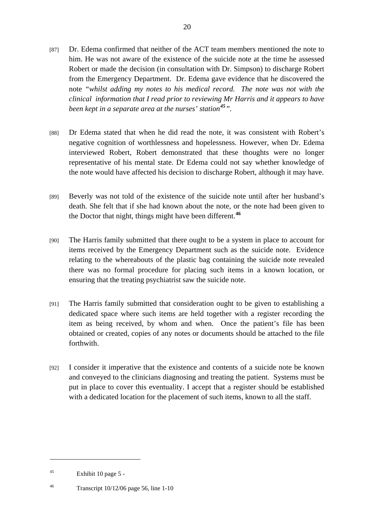- [87] Dr. Edema confirmed that neither of the ACT team members mentioned the note to him. He was not aware of the existence of the suicide note at the time he assessed Robert or made the decision (in consultation with Dr. Simpson) to discharge Robert from the Emergency Department. Dr. Edema gave evidence that he discovered the note *"whilst adding my notes to his medical record. The note was not with the clinical information that I read prior to reviewing Mr Harris and it appears to have been kept in a separate area at the nurses' station[45](#page-19-0)".*
- [88] Dr Edema stated that when he did read the note, it was consistent with Robert's negative cognition of worthlessness and hopelessness. However, when Dr. Edema interviewed Robert, Robert demonstrated that these thoughts were no longer representative of his mental state. Dr Edema could not say whether knowledge of the note would have affected his decision to discharge Robert, although it may have.
- [89] Beverly was not told of the existence of the suicide note until after her husband's death. She felt that if she had known about the note, or the note had been given to the Doctor that night, things might have been different.**[46](#page-19-1)**
- [90] The Harris family submitted that there ought to be a system in place to account for items received by the Emergency Department such as the suicide note. Evidence relating to the whereabouts of the plastic bag containing the suicide note revealed there was no formal procedure for placing such items in a known location, or ensuring that the treating psychiatrist saw the suicide note.
- [91] The Harris family submitted that consideration ought to be given to establishing a dedicated space where such items are held together with a register recording the item as being received, by whom and when. Once the patient's file has been obtained or created, copies of any notes or documents should be attached to the file forthwith.
- [92] I consider it imperative that the existence and contents of a suicide note be known and conveyed to the clinicians diagnosing and treating the patient. Systems must be put in place to cover this eventuality. I accept that a register should be established with a dedicated location for the placement of such items, known to all the staff.

<span id="page-19-0"></span> $45$  Exhibit 10 page 5 -

<span id="page-19-1"></span><sup>46</sup> Transcript 10/12/06 page 56, line 1-10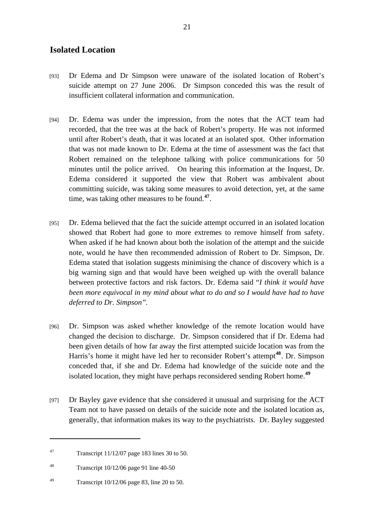#### **Isolated Location**

- [93] Dr Edema and Dr Simpson were unaware of the isolated location of Robert's suicide attempt on 27 June 2006. Dr Simpson conceded this was the result of insufficient collateral information and communication.
- [94] Dr. Edema was under the impression, from the notes that the ACT team had recorded, that the tree was at the back of Robert's property. He was not informed until after Robert's death, that it was located at an isolated spot. Other information that was not made known to Dr. Edema at the time of assessment was the fact that Robert remained on the telephone talking with police communications for 50 minutes until the police arrived. On hearing this information at the Inquest, Dr. Edema considered it supported the view that Robert was ambivalent about committing suicide, was taking some measures to avoid detection, yet, at the same time, was taking other measures to be found.**[47](#page-20-0)***.*
- [95] Dr. Edema believed that the fact the suicide attempt occurred in an isolated location showed that Robert had gone to more extremes to remove himself from safety. When asked if he had known about both the isolation of the attempt and the suicide note, would he have then recommended admission of Robert to Dr. Simpson, Dr. Edema stated that isolation suggests minimising the chance of discovery which is a big warning sign and that would have been weighed up with the overall balance between protective factors and risk factors. Dr. Edema said "*I think it would have been more equivocal in my mind about what to do and so I would have had to have deferred to Dr. Simpson".*
- [96] Dr. Simpson was asked whether knowledge of the remote location would have changed the decision to discharge. Dr. Simpson considered that if Dr. Edema had been given details of how far away the first attempted suicide location was from the Harris's home it might have led her to reconsider Robert's attempt**[48](#page-20-1)**. Dr. Simpson conceded that, if she and Dr. Edema had knowledge of the suicide note and the isolated location, they might have perhaps reconsidered sending Robert home.**[49](#page-20-2)**
- [97] Dr Bayley gave evidence that she considered it unusual and surprising for the ACT Team not to have passed on details of the suicide note and the isolated location as, generally, that information makes its way to the psychiatrists. Dr. Bayley suggested

<span id="page-20-0"></span><sup>47</sup> Transcript 11/12/07 page 183 lines 30 to 50.

<span id="page-20-1"></span><sup>48</sup> Transcript 10/12/06 page 91 line 40-50

<span id="page-20-2"></span><sup>49</sup> Transcript 10/12/06 page 83, line 20 to 50.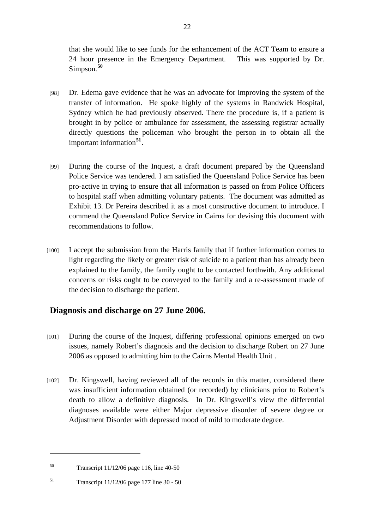that she would like to see funds for the enhancement of the ACT Team to ensure a 24 hour presence in the Emergency Department. This was supported by Dr. Simpson.**[50](#page-21-0)**

- [98] Dr. Edema gave evidence that he was an advocate for improving the system of the transfer of information. He spoke highly of the systems in Randwick Hospital, Sydney which he had previously observed. There the procedure is, if a patient is brought in by police or ambulance for assessment, the assessing registrar actually directly questions the policeman who brought the person in to obtain all the important information**[51](#page-21-1)**.
- [99] During the course of the Inquest, a draft document prepared by the Queensland Police Service was tendered. I am satisfied the Queensland Police Service has been pro-active in trying to ensure that all information is passed on from Police Officers to hospital staff when admitting voluntary patients. The document was admitted as Exhibit 13. Dr Pereira described it as a most constructive document to introduce. I commend the Queensland Police Service in Cairns for devising this document with recommendations to follow.
- [100] I accept the submission from the Harris family that if further information comes to light regarding the likely or greater risk of suicide to a patient than has already been explained to the family, the family ought to be contacted forthwith. Any additional concerns or risks ought to be conveyed to the family and a re-assessment made of the decision to discharge the patient.

### **Diagnosis and discharge on 27 June 2006.**

- [101] During the course of the Inquest, differing professional opinions emerged on two issues, namely Robert's diagnosis and the decision to discharge Robert on 27 June 2006 as opposed to admitting him to the Cairns Mental Health Unit .
- [102] Dr. Kingswell, having reviewed all of the records in this matter, considered there was insufficient information obtained (or recorded) by clinicians prior to Robert's death to allow a definitive diagnosis. In Dr. Kingswell's view the differential diagnoses available were either Major depressive disorder of severe degree or Adjustment Disorder with depressed mood of mild to moderate degree.

<span id="page-21-0"></span><sup>50</sup> Transcript 11/12/06 page 116, line 40-50

<span id="page-21-1"></span><sup>51</sup> Transcript 11/12/06 page 177 line 30 - 50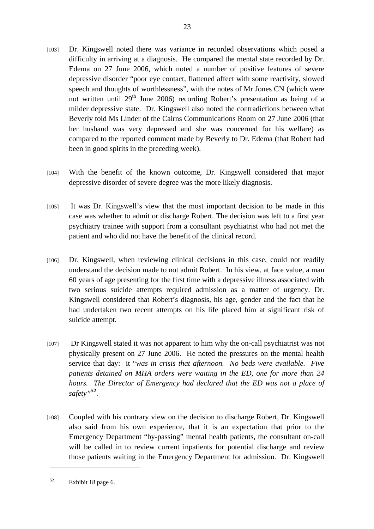- [103] Dr. Kingswell noted there was variance in recorded observations which posed a difficulty in arriving at a diagnosis. He compared the mental state recorded by Dr. Edema on 27 June 2006, which noted a number of positive features of severe depressive disorder "poor eye contact, flattened affect with some reactivity, slowed speech and thoughts of worthlessness", with the notes of Mr Jones CN (which were not written until  $29<sup>th</sup>$  June 2006) recording Robert's presentation as being of a milder depressive state. Dr. Kingswell also noted the contradictions between what Beverly told Ms Linder of the Cairns Communications Room on 27 June 2006 (that her husband was very depressed and she was concerned for his welfare) as compared to the reported comment made by Beverly to Dr. Edema (that Robert had been in good spirits in the preceding week).
- [104] With the benefit of the known outcome, Dr. Kingswell considered that major depressive disorder of severe degree was the more likely diagnosis.
- [105] It was Dr. Kingswell's view that the most important decision to be made in this case was whether to admit or discharge Robert. The decision was left to a first year psychiatry trainee with support from a consultant psychiatrist who had not met the patient and who did not have the benefit of the clinical record.
- [106] Dr. Kingswell, when reviewing clinical decisions in this case, could not readily understand the decision made to not admit Robert. In his view, at face value, a man 60 years of age presenting for the first time with a depressive illness associated with two serious suicide attempts required admission as a matter of urgency. Dr. Kingswell considered that Robert's diagnosis, his age, gender and the fact that he had undertaken two recent attempts on his life placed him at significant risk of suicide attempt.
- [107] Dr Kingswell stated it was not apparent to him why the on-call psychiatrist was not physically present on 27 June 2006. He noted the pressures on the mental health service that day: it "*was in crisis that afternoon. No beds were available. Five patients detained on MHA orders were waiting in the ED, one for more than 24 hours. The Director of Emergency had declared that the ED was not a place of safety"[52](#page-22-0).*
- [108] Coupled with his contrary view on the decision to discharge Robert, Dr. Kingswell also said from his own experience, that it is an expectation that prior to the Emergency Department "by-passing" mental health patients, the consultant on-call will be called in to review current inpatients for potential discharge and review those patients waiting in the Emergency Department for admission. Dr. Kingswell

23

<span id="page-22-0"></span><sup>52</sup> Exhibit 18 page 6.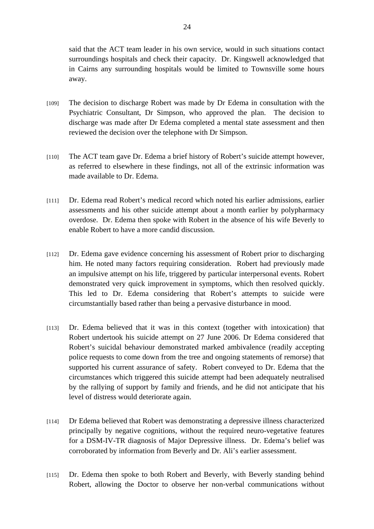said that the ACT team leader in his own service, would in such situations contact surroundings hospitals and check their capacity. Dr. Kingswell acknowledged that in Cairns any surrounding hospitals would be limited to Townsville some hours away.

- [109] The decision to discharge Robert was made by Dr Edema in consultation with the Psychiatric Consultant, Dr Simpson, who approved the plan. The decision to discharge was made after Dr Edema completed a mental state assessment and then reviewed the decision over the telephone with Dr Simpson.
- [110] The ACT team gave Dr. Edema a brief history of Robert's suicide attempt however, as referred to elsewhere in these findings, not all of the extrinsic information was made available to Dr. Edema.
- [111] Dr. Edema read Robert's medical record which noted his earlier admissions, earlier assessments and his other suicide attempt about a month earlier by polypharmacy overdose. Dr. Edema then spoke with Robert in the absence of his wife Beverly to enable Robert to have a more candid discussion.
- [112] Dr. Edema gave evidence concerning his assessment of Robert prior to discharging him. He noted many factors requiring consideration. Robert had previously made an impulsive attempt on his life, triggered by particular interpersonal events. Robert demonstrated very quick improvement in symptoms, which then resolved quickly. This led to Dr. Edema considering that Robert's attempts to suicide were circumstantially based rather than being a pervasive disturbance in mood.
- [113] Dr. Edema believed that it was in this context (together with intoxication) that Robert undertook his suicide attempt on 27 June 2006. Dr Edema considered that Robert's suicidal behaviour demonstrated marked ambivalence (readily accepting police requests to come down from the tree and ongoing statements of remorse) that supported his current assurance of safety. Robert conveyed to Dr. Edema that the circumstances which triggered this suicide attempt had been adequately neutralised by the rallying of support by family and friends, and he did not anticipate that his level of distress would deteriorate again.
- [114] Dr Edema believed that Robert was demonstrating a depressive illness characterized principally by negative cognitions, without the required neuro-vegetative features for a DSM-IV-TR diagnosis of Major Depressive illness. Dr. Edema's belief was corroborated by information from Beverly and Dr. Ali's earlier assessment.
- [115] Dr. Edema then spoke to both Robert and Beverly, with Beverly standing behind Robert, allowing the Doctor to observe her non-verbal communications without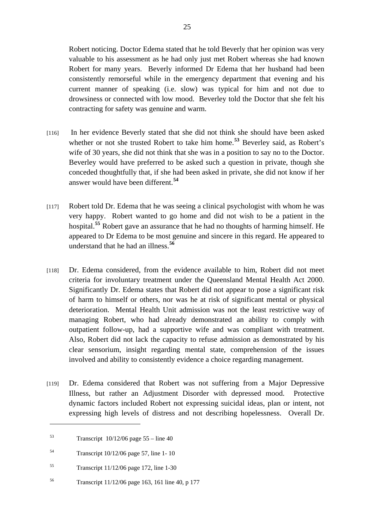Robert noticing. Doctor Edema stated that he told Beverly that her opinion was very valuable to his assessment as he had only just met Robert whereas she had known Robert for many years. Beverly informed Dr Edema that her husband had been consistently remorseful while in the emergency department that evening and his current manner of speaking (i.e. slow) was typical for him and not due to drowsiness or connected with low mood. Beverley told the Doctor that she felt his contracting for safety was genuine and warm.

- [116] In her evidence Beverly stated that she did not think she should have been asked whether or not she trusted Robert to take him home.<sup>[53](#page-24-0)</sup> Beverley said, as Robert's wife of 30 years, she did not think that she was in a position to say no to the Doctor. Beverley would have preferred to be asked such a question in private, though she conceded thoughtfully that, if she had been asked in private, she did not know if her answer would have been different.**[54](#page-24-1)**
- [117] Robert told Dr. Edema that he was seeing a clinical psychologist with whom he was very happy. Robert wanted to go home and did not wish to be a patient in the hospital.**[55](#page-24-2)** Robert gave an assurance that he had no thoughts of harming himself. He appeared to Dr Edema to be most genuine and sincere in this regard. He appeared to understand that he had an illness.**[56](#page-24-3)**
- [118] Dr. Edema considered, from the evidence available to him, Robert did not meet criteria for involuntary treatment under the Queensland Mental Health Act 2000. Significantly Dr. Edema states that Robert did not appear to pose a significant risk of harm to himself or others, nor was he at risk of significant mental or physical deterioration. Mental Health Unit admission was not the least restrictive way of managing Robert, who had already demonstrated an ability to comply with outpatient follow-up, had a supportive wife and was compliant with treatment. Also, Robert did not lack the capacity to refuse admission as demonstrated by his clear sensorium, insight regarding mental state, comprehension of the issues involved and ability to consistently evidence a choice regarding management.
- [119] Dr. Edema considered that Robert was not suffering from a Major Depressive Illness, but rather an Adjustment Disorder with depressed mood. Protective dynamic factors included Robert not expressing suicidal ideas, plan or intent, not expressing high levels of distress and not describing hopelessness. Overall Dr.

<span id="page-24-0"></span> $53$  Transcript  $10/12/06$  page  $55 -$  line 40

<span id="page-24-1"></span><sup>54</sup> Transcript 10/12/06 page 57, line 1- 10

<span id="page-24-2"></span> $55$  Transcript  $11/12/06$  page 172, line 1-30

<span id="page-24-3"></span><sup>56</sup> Transcript 11/12/06 page 163, 161 line 40, p 177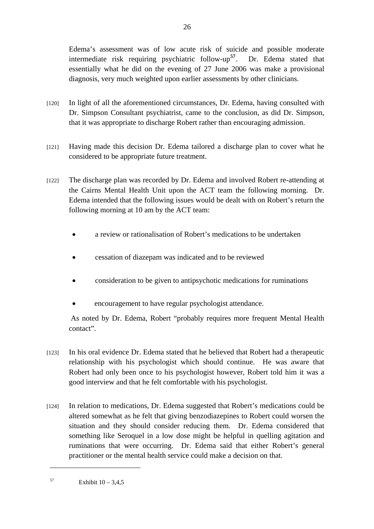Edema's assessment was of low acute risk of suicide and possible moderate intermediate risk requiring psychiatric follow-up**[57](#page-25-0)**. Dr. Edema stated that essentially what he did on the evening of 27 June 2006 was make a provisional diagnosis, very much weighted upon earlier assessments by other clinicians.

- [120] In light of all the aforementioned circumstances, Dr. Edema, having consulted with Dr. Simpson Consultant psychiatrist, came to the conclusion, as did Dr. Simpson, that it was appropriate to discharge Robert rather than encouraging admission.
- [121] Having made this decision Dr. Edema tailored a discharge plan to cover what he considered to be appropriate future treatment.
- [122] The discharge plan was recorded by Dr. Edema and involved Robert re-attending at the Cairns Mental Health Unit upon the ACT team the following morning. Dr. Edema intended that the following issues would be dealt with on Robert's return the following morning at 10 am by the ACT team:
	- a review or rationalisation of Robert's medications to be undertaken
	- cessation of diazepam was indicated and to be reviewed
	- consideration to be given to antipsychotic medications for ruminations
	- encouragement to have regular psychologist attendance.

 As noted by Dr. Edema, Robert "probably requires more frequent Mental Health contact".

- [123] In his oral evidence Dr. Edema stated that he believed that Robert had a therapeutic relationship with his psychologist which should continue. He was aware that Robert had only been once to his psychologist however, Robert told him it was a good interview and that he felt comfortable with his psychologist.
- [124] In relation to medications, Dr. Edema suggested that Robert's medications could be altered somewhat as he felt that giving benzodiazepines to Robert could worsen the situation and they should consider reducing them. Dr. Edema considered that something like Seroquel in a low dose might be helpful in quelling agitation and ruminations that were occurring. Dr. Edema said that either Robert's general practitioner or the mental health service could make a decision on that.

<span id="page-25-0"></span> $57$  Exhibit  $10 - 3,4,5$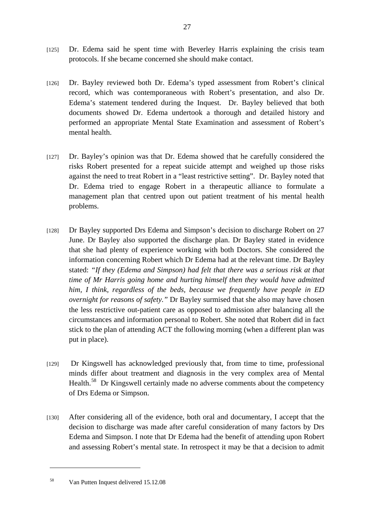- [125] Dr. Edema said he spent time with Beverley Harris explaining the crisis team protocols. If she became concerned she should make contact.
- [126] Dr. Bayley reviewed both Dr. Edema's typed assessment from Robert's clinical record, which was contemporaneous with Robert's presentation, and also Dr. Edema's statement tendered during the Inquest. Dr. Bayley believed that both documents showed Dr. Edema undertook a thorough and detailed history and performed an appropriate Mental State Examination and assessment of Robert's mental health.
- [127] Dr. Bayley's opinion was that Dr. Edema showed that he carefully considered the risks Robert presented for a repeat suicide attempt and weighed up those risks against the need to treat Robert in a "least restrictive setting". Dr. Bayley noted that Dr. Edema tried to engage Robert in a therapeutic alliance to formulate a management plan that centred upon out patient treatment of his mental health problems.
- [128] Dr Bayley supported Drs Edema and Simpson's decision to discharge Robert on 27 June. Dr Bayley also supported the discharge plan. Dr Bayley stated in evidence that she had plenty of experience working with both Doctors. She considered the information concerning Robert which Dr Edema had at the relevant time. Dr Bayley stated: *"If they (Edema and Simpson) had felt that there was a serious risk at that time of Mr Harris going home and hurting himself then they would have admitted him, I think, regardless of the beds, because we frequently have people in ED overnight for reasons of safety."* Dr Bayley surmised that she also may have chosen the less restrictive out-patient care as opposed to admission after balancing all the circumstances and information personal to Robert. She noted that Robert did in fact stick to the plan of attending ACT the following morning (when a different plan was put in place).
- [129] Dr Kingswell has acknowledged previously that, from time to time, professional minds differ about treatment and diagnosis in the very complex area of Mental Health.<sup>[58](#page-26-0)</sup> Dr Kingswell certainly made no adverse comments about the competency of Drs Edema or Simpson.
- [130] After considering all of the evidence, both oral and documentary, I accept that the decision to discharge was made after careful consideration of many factors by Drs Edema and Simpson. I note that Dr Edema had the benefit of attending upon Robert and assessing Robert's mental state. In retrospect it may be that a decision to admit

<span id="page-26-0"></span><sup>58</sup> Van Putten Inquest delivered 15.12.08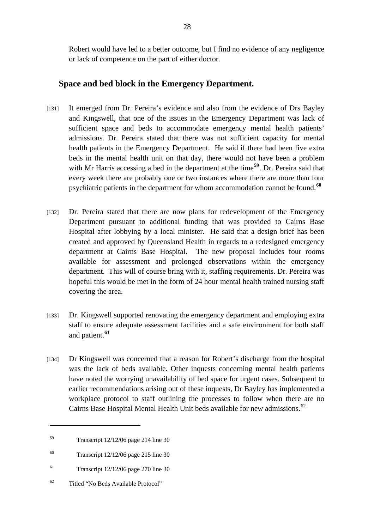Robert would have led to a better outcome, but I find no evidence of any negligence or lack of competence on the part of either doctor.

#### **Space and bed block in the Emergency Department.**

- [131] It emerged from Dr. Pereira's evidence and also from the evidence of Drs Bayley and Kingswell, that one of the issues in the Emergency Department was lack of sufficient space and beds to accommodate emergency mental health patients' admissions. Dr. Pereira stated that there was not sufficient capacity for mental health patients in the Emergency Department. He said if there had been five extra beds in the mental health unit on that day, there would not have been a problem with Mr Harris accessing a bed in the department at the time<sup>[59](#page-27-0)</sup>. Dr. Pereira said that every week there are probably one or two instances where there are more than four psychiatric patients in the department for whom accommodation cannot be found.**[60](#page-27-1)**
- [132] Dr. Pereira stated that there are now plans for redevelopment of the Emergency Department pursuant to additional funding that was provided to Cairns Base Hospital after lobbying by a local minister. He said that a design brief has been created and approved by Queensland Health in regards to a redesigned emergency department at Cairns Base Hospital. The new proposal includes four rooms available for assessment and prolonged observations within the emergency department. This will of course bring with it, staffing requirements. Dr. Pereira was hopeful this would be met in the form of 24 hour mental health trained nursing staff covering the area.
- [133] Dr. Kingswell supported renovating the emergency department and employing extra staff to ensure adequate assessment facilities and a safe environment for both staff and patient.**[61](#page-27-2)**
- [134] Dr Kingswell was concerned that a reason for Robert's discharge from the hospital was the lack of beds available. Other inquests concerning mental health patients have noted the worrying unavailability of bed space for urgent cases. Subsequent to earlier recommendations arising out of these inquests, Dr Bayley has implemented a workplace protocol to staff outlining the processes to follow when there are no Cairns Base Hospital Mental Health Unit beds available for new admissions.<sup>[62](#page-27-3)</sup>

<span id="page-27-0"></span><sup>59</sup> Transcript 12/12/06 page 214 line 30

<span id="page-27-1"></span><sup>60</sup> Transcript 12/12/06 page 215 line 30

<span id="page-27-2"></span> $51$  Transcript 12/12/06 page 270 line 30

<span id="page-27-3"></span><sup>62</sup> Titled "No Beds Available Protocol"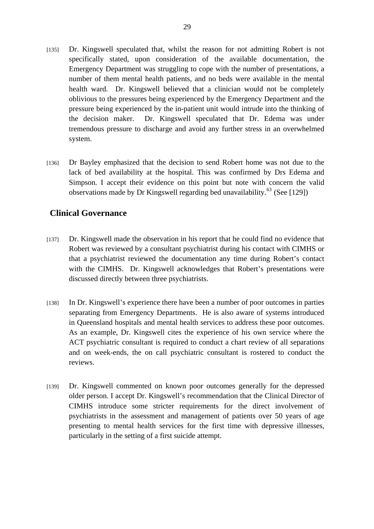- [135] Dr. Kingswell speculated that, whilst the reason for not admitting Robert is not specifically stated, upon consideration of the available documentation, the Emergency Department was struggling to cope with the number of presentations, a number of them mental health patients, and no beds were available in the mental health ward. Dr. Kingswell believed that a clinician would not be completely oblivious to the pressures being experienced by the Emergency Department and the pressure being experienced by the in-patient unit would intrude into the thinking of the decision maker. Dr. Kingswell speculated that Dr. Edema was under tremendous pressure to discharge and avoid any further stress in an overwhelmed system.
- [136] Dr Bayley emphasized that the decision to send Robert home was not due to the lack of bed availability at the hospital. This was confirmed by Drs Edema and Simpson. I accept their evidence on this point but note with concern the valid observations made by Dr Kingswell regarding bed unavailability.<sup>[63](#page-28-0)</sup> (See [129])

#### **Clinical Governance**

- [137] Dr. Kingswell made the observation in his report that he could find no evidence that Robert was reviewed by a consultant psychiatrist during his contact with CIMHS or that a psychiatrist reviewed the documentation any time during Robert's contact with the CIMHS. Dr. Kingswell acknowledges that Robert's presentations were discussed directly between three psychiatrists.
- [138] In Dr. Kingswell's experience there have been a number of poor outcomes in parties separating from Emergency Departments. He is also aware of systems introduced in Queensland hospitals and mental health services to address these poor outcomes. As an example, Dr. Kingswell cites the experience of his own service where the ACT psychiatric consultant is required to conduct a chart review of all separations and on week-ends, the on call psychiatric consultant is rostered to conduct the reviews.
- <span id="page-28-0"></span>[139] Dr. Kingswell commented on known poor outcomes generally for the depressed older person. I accept Dr. Kingswell's recommendation that the Clinical Director of CIMHS introduce some stricter requirements for the direct involvement of psychiatrists in the assessment and management of patients over 50 years of age presenting to mental health services for the first time with depressive illnesses, particularly in the setting of a first suicide attempt.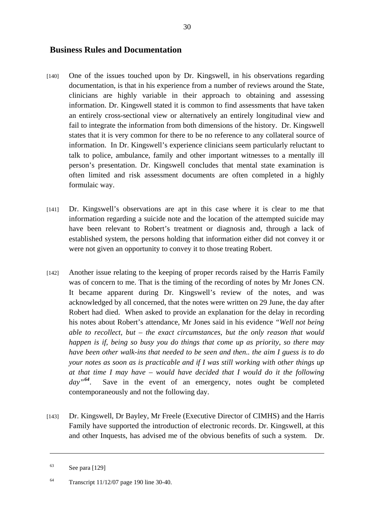#### <span id="page-29-0"></span>**Business Rules and Documentation**

- [140] One of the issues touched upon by Dr. Kingswell, in his observations regarding documentation, is that in his experience from a number of reviews around the State, clinicians are highly variable in their approach to obtaining and assessing information. Dr. Kingswell stated it is common to find assessments that have taken an entirely cross-sectional view or alternatively an entirely longitudinal view and fail to integrate the information from both dimensions of the history. Dr. Kingswell states that it is very common for there to be no reference to any collateral source of information. In Dr. Kingswell's experience clinicians seem particularly reluctant to talk to police, ambulance, family and other important witnesses to a mentally ill person's presentation. Dr. Kingswell concludes that mental state examination is often limited and risk assessment documents are often completed in a highly formulaic way.
- [141] Dr. Kingswell's observations are apt in this case where it is clear to me that information regarding a suicide note and the location of the attempted suicide may have been relevant to Robert's treatment or diagnosis and, through a lack of established system, the persons holding that information either did not convey it or were not given an opportunity to convey it to those treating Robert.
- [142] Another issue relating to the keeping of proper records raised by the Harris Family was of concern to me. That is the timing of the recording of notes by Mr Jones CN. It became apparent during Dr. Kingswell's review of the notes, and was acknowledged by all concerned, that the notes were written on 29 June, the day after Robert had died. When asked to provide an explanation for the delay in recording his notes about Robert's attendance, Mr Jones said in his evidence *"Well not being able to recollect, but – the exact circumstances, but the only reason that would happen is if, being so busy you do things that come up as priority, so there may have been other walk-ins that needed to be seen and then.. the aim I guess is to do your notes as soon as is practicable and if I was still working with other things up at that time I may have – would have decided that I would do it the following day"[64](#page-29-0).* Save in the event of an emergency, notes ought be completed contemporaneously and not the following day.
- [143] Dr. Kingswell, Dr Bayley, Mr Freele (Executive Director of CIMHS) and the Harris Family have supported the introduction of electronic records. Dr. Kingswell, at this and other Inquests, has advised me of the obvious benefits of such a system. Dr.

<u> 1989 - Johann Stoff, amerikansk politiker (d. 1989)</u>

 $63$  See para [129]

<sup>64</sup> Transcript 11/12/07 page 190 line 30-40.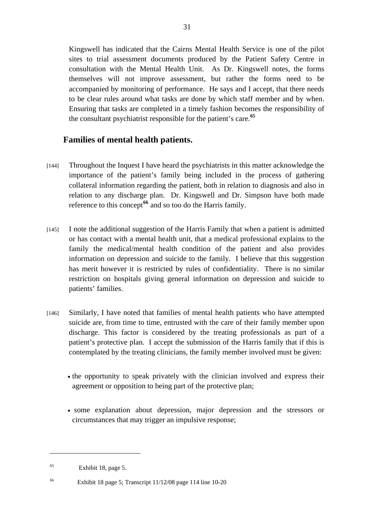Kingswell has indicated that the Cairns Mental Health Service is one of the pilot sites to trial assessment documents produced by the Patient Safety Centre in consultation with the Mental Health Unit. As Dr. Kingswell notes, the forms themselves will not improve assessment, but rather the forms need to be accompanied by monitoring of performance. He says and I accept, that there needs to be clear rules around what tasks are done by which staff member and by when. Ensuring that tasks are completed in a timely fashion becomes the responsibility of the consultant psychiatrist responsible for the patient's care.**[65](#page-30-0)**

#### **Families of mental health patients.**

- [144] Throughout the Inquest I have heard the psychiatrists in this matter acknowledge the importance of the patient's family being included in the process of gathering collateral information regarding the patient, both in relation to diagnosis and also in relation to any discharge plan. Dr. Kingswell and Dr. Simpson have both made reference to this concept<sup>[66](#page-30-1)</sup> and so too do the Harris family.
- [145] I note the additional suggestion of the Harris Family that when a patient is admitted or has contact with a mental health unit, that a medical professional explains to the family the medical/mental health condition of the patient and also provides information on depression and suicide to the family. I believe that this suggestion has merit however it is restricted by rules of confidentiality. There is no similar restriction on hospitals giving general information on depression and suicide to patients' families.
- [146] Similarly, I have noted that families of mental health patients who have attempted suicide are, from time to time, entrusted with the care of their family member upon discharge. This factor is considered by the treating professionals as part of a patient's protective plan. I accept the submission of the Harris family that if this is contemplated by the treating clinicians, the family member involved must be given:
	- the opportunity to speak privately with the clinician involved and express their agreement or opposition to being part of the protective plan;
	- some explanation about depression, major depression and the stressors or circumstances that may trigger an impulsive response;

<span id="page-30-0"></span><sup>65</sup> Exhibit 18, page 5.

<span id="page-30-1"></span><sup>66</sup> Exhibit 18 page 5; Transcript 11/12/08 page 114 line 10-20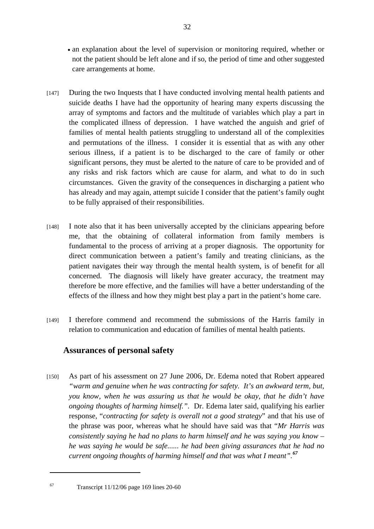- an explanation about the level of supervision or monitoring required, whether or not the patient should be left alone and if so, the period of time and other suggested care arrangements at home.
- [147] During the two Inquests that I have conducted involving mental health patients and suicide deaths I have had the opportunity of hearing many experts discussing the array of symptoms and factors and the multitude of variables which play a part in the complicated illness of depression. I have watched the anguish and grief of families of mental health patients struggling to understand all of the complexities and permutations of the illness. I consider it is essential that as with any other serious illness, if a patient is to be discharged to the care of family or other significant persons, they must be alerted to the nature of care to be provided and of any risks and risk factors which are cause for alarm, and what to do in such circumstances. Given the gravity of the consequences in discharging a patient who has already and may again, attempt suicide I consider that the patient's family ought to be fully appraised of their responsibilities.
- [148] I note also that it has been universally accepted by the clinicians appearing before me, that the obtaining of collateral information from family members is fundamental to the process of arriving at a proper diagnosis. The opportunity for direct communication between a patient's family and treating clinicians, as the patient navigates their way through the mental health system, is of benefit for all concerned. The diagnosis will likely have greater accuracy, the treatment may therefore be more effective, and the families will have a better understanding of the effects of the illness and how they might best play a part in the patient's home care.
- [149] I therefore commend and recommend the submissions of the Harris family in relation to communication and education of families of mental health patients.

#### **Assurances of personal safety**

[150] As part of his assessment on 27 June 2006, Dr. Edema noted that Robert appeared *"warm and genuine when he was contracting for safety. It's an awkward term, but, you know, when he was assuring us that he would be okay, that he didn't have ongoing thoughts of harming himself."*. Dr. Edema later said, qualifying his earlier response, "*contracting for safety is overall not a good strategy*" and that his use of the phrase was poor, whereas what he should have said was that "*Mr Harris was consistently saying he had no plans to harm himself and he was saying you know – he was saying he would be safe...... he had been giving assurances that he had no current ongoing thoughts of harming himself and that was what I meant".[67](#page-31-0)*

<span id="page-31-0"></span><sup>67</sup> Transcript 11/12/06 page 169 lines 20-60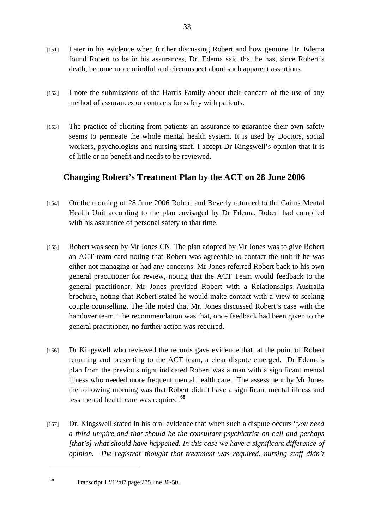- [151] Later in his evidence when further discussing Robert and how genuine Dr. Edema found Robert to be in his assurances, Dr. Edema said that he has, since Robert's death, become more mindful and circumspect about such apparent assertions.
- [152] I note the submissions of the Harris Family about their concern of the use of any method of assurances or contracts for safety with patients.
- [153] The practice of eliciting from patients an assurance to guarantee their own safety seems to permeate the whole mental health system. It is used by Doctors, social workers, psychologists and nursing staff. I accept Dr Kingswell's opinion that it is of little or no benefit and needs to be reviewed.

### **Changing Robert's Treatment Plan by the ACT on 28 June 2006**

- [154] On the morning of 28 June 2006 Robert and Beverly returned to the Cairns Mental Health Unit according to the plan envisaged by Dr Edema. Robert had complied with his assurance of personal safety to that time.
- [155] Robert was seen by Mr Jones CN. The plan adopted by Mr Jones was to give Robert an ACT team card noting that Robert was agreeable to contact the unit if he was either not managing or had any concerns. Mr Jones referred Robert back to his own general practitioner for review, noting that the ACT Team would feedback to the general practitioner. Mr Jones provided Robert with a Relationships Australia brochure, noting that Robert stated he would make contact with a view to seeking couple counselling. The file noted that Mr. Jones discussed Robert's case with the handover team. The recommendation was that, once feedback had been given to the general practitioner, no further action was required.
- [156] Dr Kingswell who reviewed the records gave evidence that, at the point of Robert returning and presenting to the ACT team, a clear dispute emerged. Dr Edema's plan from the previous night indicated Robert was a man with a significant mental illness who needed more frequent mental health care. The assessment by Mr Jones the following morning was that Robert didn't have a significant mental illness and less mental health care was required.**[68](#page-32-0)**
- [157] Dr. Kingswell stated in his oral evidence that when such a dispute occurs "*you need a third umpire and that should be the consultant psychiatrist on call and perhaps [that's] what should have happened. In this case we have a significant difference of opinion. The registrar thought that treatment was required, nursing staff didn't*

<span id="page-32-0"></span><sup>68</sup> Transcript 12/12/07 page 275 line 30-50.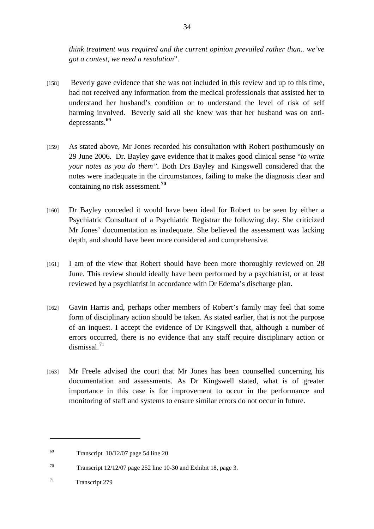*think treatment was required and the current opinion prevailed rather than.. we've got a contest, we need a resolution*".

- [158] Beverly gave evidence that she was not included in this review and up to this time, had not received any information from the medical professionals that assisted her to understand her husband's condition or to understand the level of risk of self harming involved. Beverly said all she knew was that her husband was on antidepressants.**[69](#page-33-0)**
- [159] As stated above, Mr Jones recorded his consultation with Robert posthumously on 29 June 2006. Dr. Bayley gave evidence that it makes good clinical sense "*to write your notes as you do them".* Both Drs Bayley and Kingswell considered that the notes were inadequate in the circumstances, failing to make the diagnosis clear and containing no risk assessment.**[70](#page-33-1)**
- [160] Dr Bayley conceded it would have been ideal for Robert to be seen by either a Psychiatric Consultant of a Psychiatric Registrar the following day. She criticized Mr Jones' documentation as inadequate. She believed the assessment was lacking depth, and should have been more considered and comprehensive.
- [161] I am of the view that Robert should have been more thoroughly reviewed on 28 June. This review should ideally have been performed by a psychiatrist, or at least reviewed by a psychiatrist in accordance with Dr Edema's discharge plan.
- [162] Gavin Harris and, perhaps other members of Robert's family may feel that some form of disciplinary action should be taken. As stated earlier, that is not the purpose of an inquest. I accept the evidence of Dr Kingswell that, although a number of errors occurred, there is no evidence that any staff require disciplinary action or dismissal. $71$
- [163] Mr Freele advised the court that Mr Jones has been counselled concerning his documentation and assessments. As Dr Kingswell stated, what is of greater importance in this case is for improvement to occur in the performance and monitoring of staff and systems to ensure similar errors do not occur in future.

<span id="page-33-0"></span> $^{69}$  Transcript 10/12/07 page 54 line 20

<span id="page-33-1"></span><sup>70</sup> Transcript 12/12/07 page 252 line 10-30 and Exhibit 18, page 3.

<span id="page-33-2"></span><sup>&</sup>lt;sup>71</sup> Transcript 279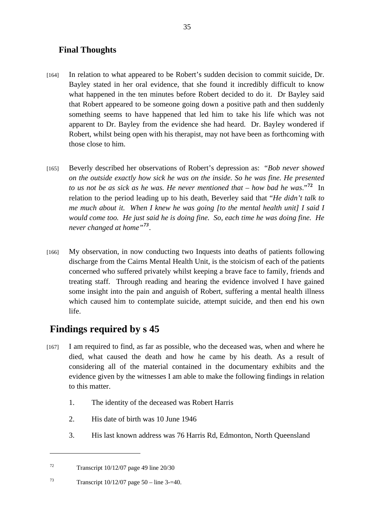#### **Final Thoughts**

- [164] In relation to what appeared to be Robert's sudden decision to commit suicide, Dr. Bayley stated in her oral evidence, that she found it incredibly difficult to know what happened in the ten minutes before Robert decided to do it. Dr Bayley said that Robert appeared to be someone going down a positive path and then suddenly something seems to have happened that led him to take his life which was not apparent to Dr. Bayley from the evidence she had heard. Dr. Bayley wondered if Robert, whilst being open with his therapist, may not have been as forthcoming with those close to him.
- [165] Beverly described her observations of Robert's depression as: "*Bob never showed on the outside exactly how sick he was on the inside. So he was fine. He presented to us not be as sick as he was. He never mentioned that – how bad he was*."**[72](#page-34-0)** In relation to the period leading up to his death, Beverley said that "*He didn't talk to me much about it. When I knew he was going [to the mental health unit] I said I would come too. He just said he is doing fine. So, each time he was doing fine. He never changed at home"[73](#page-34-1)*.
- [166] My observation, in now conducting two Inquests into deaths of patients following discharge from the Cairns Mental Health Unit, is the stoicism of each of the patients concerned who suffered privately whilst keeping a brave face to family, friends and treating staff. Through reading and hearing the evidence involved I have gained some insight into the pain and anguish of Robert, suffering a mental health illness which caused him to contemplate suicide, attempt suicide, and then end his own life.

## **Findings required by s 45**

- [167] I am required to find, as far as possible, who the deceased was, when and where he died, what caused the death and how he came by his death. As a result of considering all of the material contained in the documentary exhibits and the evidence given by the witnesses I am able to make the following findings in relation to this matter.
	- 1. The identity of the deceased was Robert Harris
	- 2. His date of birth was 10 June 1946
	- 3. His last known address was 76 Harris Rd, Edmonton, North Queensland

<span id="page-34-0"></span> $T^2$  Transcript 10/12/07 page 49 line 20/30

<span id="page-34-1"></span><sup>73</sup> Transcript  $10/12/07$  page 50 – line 3-=40.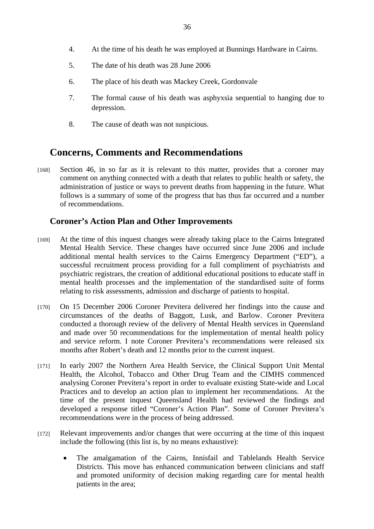- 4. At the time of his death he was employed at Bunnings Hardware in Cairns.
- 5. The date of his death was 28 June 2006
- 6. The place of his death was Mackey Creek, Gordonvale
- 7. The formal cause of his death was asphyxsia sequential to hanging due to depression.
- 8. The cause of death was not suspicious.

### **Concerns, Comments and Recommendations**

[168] Section 46, in so far as it is relevant to this matter, provides that a coroner may comment on anything connected with a death that relates to public health or safety, the administration of justice or ways to prevent deaths from happening in the future. What follows is a summary of some of the progress that has thus far occurred and a number of recommendations.

#### **Coroner's Action Plan and Other Improvements**

- [169] At the time of this inquest changes were already taking place to the Cairns Integrated Mental Health Service. These changes have occurred since June 2006 and include additional mental health services to the Cairns Emergency Department ("ED"), a successful recruitment process providing for a full compliment of psychiatrists and psychiatric registrars, the creation of additional educational positions to educate staff in mental health processes and the implementation of the standardised suite of forms relating to risk assessments, admission and discharge of patients to hospital.
- [170] On 15 December 2006 Coroner Previtera delivered her findings into the cause and circumstances of the deaths of Baggott, Lusk, and Barlow. Coroner Previtera conducted a thorough review of the delivery of Mental Health services in Queensland and made over 50 recommendations for the implementation of mental health policy and service reform. I note Coroner Previtera's recommendations were released six months after Robert's death and 12 months prior to the current inquest.
- [171] In early 2007 the Northern Area Health Service, the Clinical Support Unit Mental Health, the Alcohol, Tobacco and Other Drug Team and the CIMHS commenced analysing Coroner Previtera's report in order to evaluate existing State-wide and Local Practices and to develop an action plan to implement her recommendations. At the time of the present inquest Queensland Health had reviewed the findings and developed a response titled "Coroner's Action Plan". Some of Coroner Previtera's recommendations were in the process of being addressed.
- [172] Relevant improvements and/or changes that were occurring at the time of this inquest include the following (this list is, by no means exhaustive):
	- The amalgamation of the Cairns, Innisfail and Tablelands Health Service Districts. This move has enhanced communication between clinicians and staff and promoted uniformity of decision making regarding care for mental health patients in the area;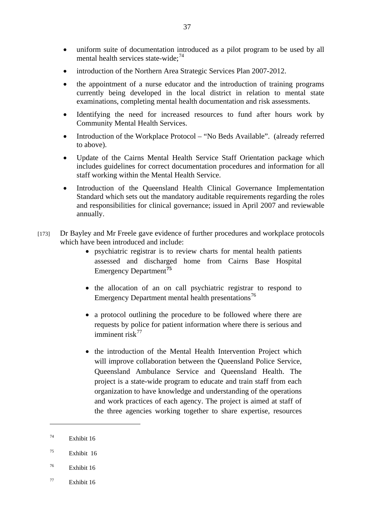- uniform suite of documentation introduced as a pilot program to be used by all mental health services state-wide; $^{74}$  $^{74}$  $^{74}$
- introduction of the Northern Area Strategic Services Plan 2007-2012.
- the appointment of a nurse educator and the introduction of training programs currently being developed in the local district in relation to mental state examinations, completing mental health documentation and risk assessments.
- Identifying the need for increased resources to fund after hours work by Community Mental Health Services.
- Introduction of the Workplace Protocol "No Beds Available". (already referred to above).
- Update of the Cairns Mental Health Service Staff Orientation package which includes guidelines for correct documentation procedures and information for all staff working within the Mental Health Service.
- Introduction of the Queensland Health Clinical Governance Implementation Standard which sets out the mandatory auditable requirements regarding the roles and responsibilities for clinical governance; issued in April 2007 and reviewable annually.
- [173] Dr Bayley and Mr Freele gave evidence of further procedures and workplace protocols which have been introduced and include:
	- psychiatric registrar is to review charts for mental health patients assessed and discharged home from Cairns Base Hospital Emergency Department**[75](#page-36-1)**
	- the allocation of an on call psychiatric registrar to respond to Emergency Department mental health presentations<sup>[76](#page-36-2)</sup>
	- a protocol outlining the procedure to be followed where there are requests by police for patient information where there is serious and imminent risk $77$
	- the introduction of the Mental Health Intervention Project which will improve collaboration between the Queensland Police Service, Queensland Ambulance Service and Queensland Health. The project is a state-wide program to educate and train staff from each organization to have knowledge and understanding of the operations and work practices of each agency. The project is aimed at staff of the three agencies working together to share expertise, resources

- <span id="page-36-2"></span>76 Exhibit 16
- <span id="page-36-3"></span>77 Exhibit 16

<span id="page-36-0"></span><sup>74</sup> Exhibit 16

<span id="page-36-1"></span><sup>75</sup> Exhibit 16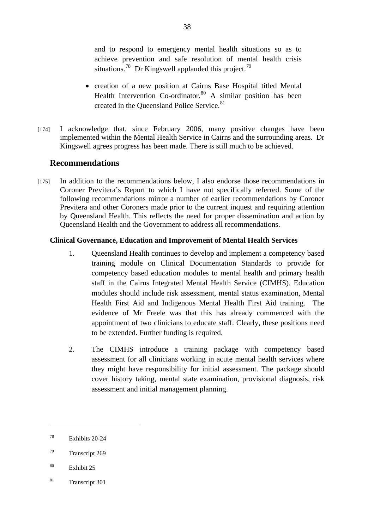and to respond to emergency mental health situations so as to achieve prevention and safe resolution of mental health crisis situations.<sup>[78](#page-37-0)</sup> Dr Kingswell applauded this project.<sup>[79](#page-37-1)</sup>

- creation of a new position at Cairns Base Hospital titled Mental Health Intervention Co-ordinator. $80$  A similar position has been created in the Queensland Police Service.<sup>[81](#page-37-3)</sup>
- [174] I acknowledge that, since February 2006, many positive changes have been implemented within the Mental Health Service in Cairns and the surrounding areas. Dr Kingswell agrees progress has been made. There is still much to be achieved.

#### **Recommendations**

[175] In addition to the recommendations below, I also endorse those recommendations in Coroner Previtera's Report to which I have not specifically referred. Some of the following recommendations mirror a number of earlier recommendations by Coroner Previtera and other Coroners made prior to the current inquest and requiring attention by Queensland Health. This reflects the need for proper dissemination and action by Queensland Health and the Government to address all recommendations.

#### **Clinical Governance, Education and Improvement of Mental Health Services**

- 1. Queensland Health continues to develop and implement a competency based training module on Clinical Documentation Standards to provide for competency based education modules to mental health and primary health staff in the Cairns Integrated Mental Health Service (CIMHS). Education modules should include risk assessment, mental status examination, Mental Health First Aid and Indigenous Mental Health First Aid training. evidence of Mr Freele was that this has already commenced with the appointment of two clinicians to educate staff. Clearly, these positions need to be extended. Further funding is required.
- 2. The CIMHS introduce a training package with competency based assessment for all clinicians working in acute mental health services where they might have responsibility for initial assessment. The package should cover history taking, mental state examination, provisional diagnosis, risk assessment and initial management planning.

<span id="page-37-3"></span>81 Transcript 301

<span id="page-37-0"></span><sup>78</sup> Exhibits 20-24

<span id="page-37-1"></span><sup>79</sup> Transcript 269

<span id="page-37-2"></span><sup>80</sup> Exhibit 25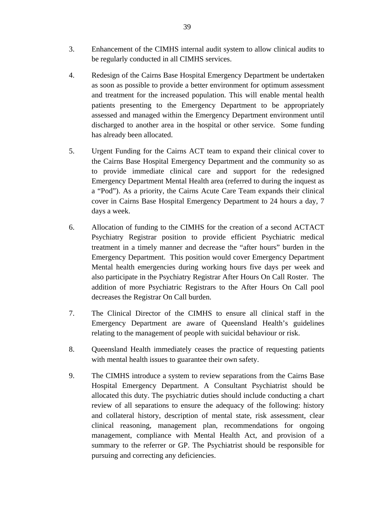- 3. Enhancement of the CIMHS internal audit system to allow clinical audits to be regularly conducted in all CIMHS services.
- 4. Redesign of the Cairns Base Hospital Emergency Department be undertaken as soon as possible to provide a better environment for optimum assessment and treatment for the increased population. This will enable mental health patients presenting to the Emergency Department to be appropriately assessed and managed within the Emergency Department environment until discharged to another area in the hospital or other service. Some funding has already been allocated.
- 5. Urgent Funding for the Cairns ACT team to expand their clinical cover to the Cairns Base Hospital Emergency Department and the community so as to provide immediate clinical care and support for the redesigned Emergency Department Mental Health area (referred to during the inquest as a "Pod"). As a priority, the Cairns Acute Care Team expands their clinical cover in Cairns Base Hospital Emergency Department to 24 hours a day, 7 days a week.
- 6. Allocation of funding to the CIMHS for the creation of a second ACTACT Psychiatry Registrar position to provide efficient Psychiatric medical treatment in a timely manner and decrease the "after hours" burden in the Emergency Department. This position would cover Emergency Department Mental health emergencies during working hours five days per week and also participate in the Psychiatry Registrar After Hours On Call Roster. The addition of more Psychiatric Registrars to the After Hours On Call pool decreases the Registrar On Call burden.
- 7. The Clinical Director of the CIMHS to ensure all clinical staff in the Emergency Department are aware of Queensland Health's guidelines relating to the management of people with suicidal behaviour or risk.
- 8. Queensland Health immediately ceases the practice of requesting patients with mental health issues to guarantee their own safety.
- 9. The CIMHS introduce a system to review separations from the Cairns Base Hospital Emergency Department. A Consultant Psychiatrist should be allocated this duty. The psychiatric duties should include conducting a chart review of all separations to ensure the adequacy of the following: history and collateral history, description of mental state, risk assessment, clear clinical reasoning, management plan, recommendations for ongoing management, compliance with Mental Health Act, and provision of a summary to the referrer or GP. The Psychiatrist should be responsible for pursuing and correcting any deficiencies.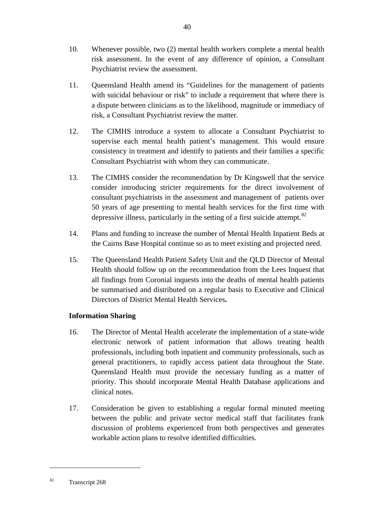- 10. Whenever possible, two (2) mental health workers complete a mental health risk assessment. In the event of any difference of opinion, a Consultant Psychiatrist review the assessment.
- 11. Queensland Health amend its "Guidelines for the management of patients with suicidal behaviour or risk" to include a requirement that where there is a dispute between clinicians as to the likelihood, magnitude or immediacy of risk, a Consultant Psychiatrist review the matter.
- 12. The CIMHS introduce a system to allocate a Consultant Psychiatrist to supervise each mental health patient's management. This would ensure consistency in treatment and identify to patients and their families a specific Consultant Psychiatrist with whom they can communicate.
- 13. The CIMHS consider the recommendation by Dr Kingswell that the service consider introducing stricter requirements for the direct involvement of consultant psychiatrists in the assessment and management of patients over 50 years of age presenting to mental health services for the first time with depressive illness, particularly in the setting of a first suicide attempt. $82$
- 14. Plans and funding to increase the number of Mental Health Inpatient Beds at the Cairns Base Hospital continue so as to meet existing and projected need.
- 15. The Queensland Health Patient Safety Unit and the QLD Director of Mental Health should follow up on the recommendation from the Lees Inquest that all findings from Coronial inquests into the deaths of mental health patients be summarised and distributed on a regular basis to Executive and Clinical Directors of District Mental Health Services**.**

#### **Information Sharing**

- 16. The Director of Mental Health accelerate the implementation of a state-wide electronic network of patient information that allows treating health professionals, including both inpatient and community professionals, such as general practitioners, to rapidly access patient data throughout the State. Queensland Health must provide the necessary funding as a matter of priority. This should incorporate Mental Health Database applications and clinical notes.
- 17. Consideration be given to establishing a regular formal minuted meeting between the public and private sector medical staff that facilitates frank discussion of problems experienced from both perspectives and generates workable action plans to resolve identified difficulties.

<span id="page-39-0"></span><sup>82</sup> Transcript 268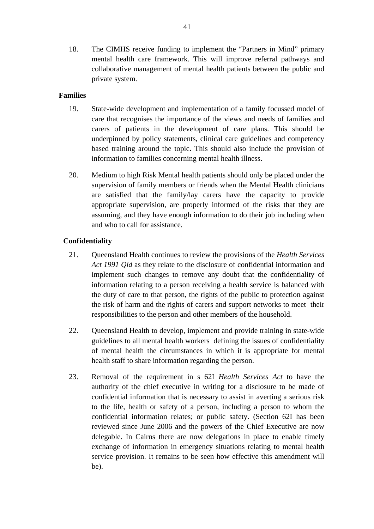18. The CIMHS receive funding to implement the "Partners in Mind" primary mental health care framework. This will improve referral pathways and collaborative management of mental health patients between the public and private system.

#### **Families**

- 19. State-wide development and implementation of a family focussed model of care that recognises the importance of the views and needs of families and carers of patients in the development of care plans. This should be underpinned by policy statements, clinical care guidelines and competency based training around the topic**.** This should also include the provision of information to families concerning mental health illness.
- 20. Medium to high Risk Mental health patients should only be placed under the supervision of family members or friends when the Mental Health clinicians are satisfied that the family/lay carers have the capacity to provide appropriate supervision, are properly informed of the risks that they are assuming, and they have enough information to do their job including when and who to call for assistance.

#### **Confidentiality**

- 21. Queensland Health continues to review the provisions of the *Health Services Act 1991 Qld* as they relate to the disclosure of confidential information and implement such changes to remove any doubt that the confidentiality of information relating to a person receiving a health service is balanced with the duty of care to that person, the rights of the public to protection against the risk of harm and the rights of carers and support networks to meet their responsibilities to the person and other members of the household.
- 22. Queensland Health to develop, implement and provide training in state-wide guidelines to all mental health workers defining the issues of confidentiality of mental health the circumstances in which it is appropriate for mental health staff to share information regarding the person.
- 23. Removal of the requirement in s 62I *Health Services Act* to have the authority of the chief executive in writing for a disclosure to be made of confidential information that is necessary to assist in averting a serious risk to the life, health or safety of a person, including a person to whom the confidential information relates; or public safety. (Section 62I has been reviewed since June 2006 and the powers of the Chief Executive are now delegable. In Cairns there are now delegations in place to enable timely exchange of information in emergency situations relating to mental health service provision. It remains to be seen how effective this amendment will be).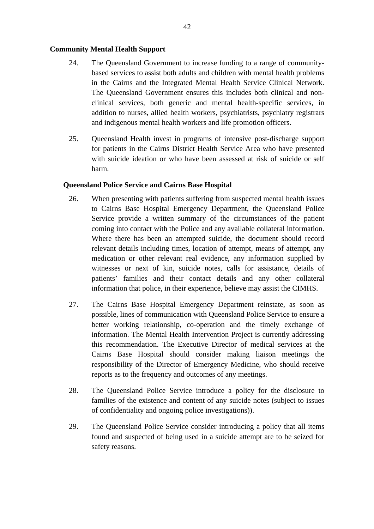#### **Community Mental Health Support**

- 24. The Queensland Government to increase funding to a range of communitybased services to assist both adults and children with mental health problems in the Cairns and the Integrated Mental Health Service Clinical Network. The Queensland Government ensures this includes both clinical and nonclinical services, both generic and mental health-specific services, in addition to nurses, allied health workers, psychiatrists, psychiatry registrars and indigenous mental health workers and life promotion officers.
- 25. Queensland Health invest in programs of intensive post-discharge support for patients in the Cairns District Health Service Area who have presented with suicide ideation or who have been assessed at risk of suicide or self harm.

#### **Queensland Police Service and Cairns Base Hospital**

- 26. When presenting with patients suffering from suspected mental health issues to Cairns Base Hospital Emergency Department, the Queensland Police Service provide a written summary of the circumstances of the patient coming into contact with the Police and any available collateral information. Where there has been an attempted suicide, the document should record relevant details including times, location of attempt, means of attempt, any medication or other relevant real evidence, any information supplied by witnesses or next of kin, suicide notes, calls for assistance, details of patients' families and their contact details and any other collateral information that police, in their experience, believe may assist the CIMHS.
- 27. The Cairns Base Hospital Emergency Department reinstate, as soon as possible, lines of communication with Queensland Police Service to ensure a better working relationship, co-operation and the timely exchange of information. The Mental Health Intervention Project is currently addressing this recommendation. The Executive Director of medical services at the Cairns Base Hospital should consider making liaison meetings the responsibility of the Director of Emergency Medicine, who should receive reports as to the frequency and outcomes of any meetings.
- 28. The Queensland Police Service introduce a policy for the disclosure to families of the existence and content of any suicide notes (subject to issues of confidentiality and ongoing police investigations)).
- 29. The Queensland Police Service consider introducing a policy that all items found and suspected of being used in a suicide attempt are to be seized for safety reasons.